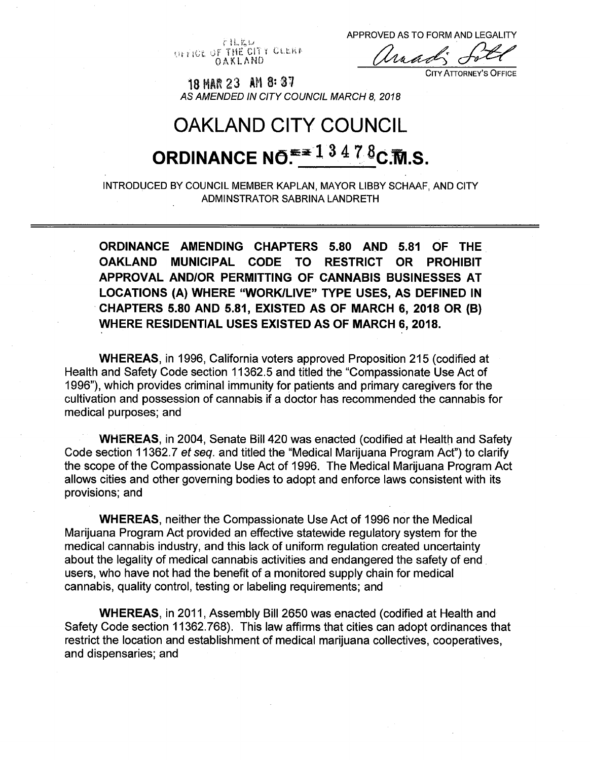**GET IGE OF THE CITY CLERK** OAKLAND **Ur <sup>r</sup>**

APPROVED AS TO FORM AND LEGALITY

traav

City Attorney'<sup>s</sup> Office

<sup>18</sup> MIR <sup>23</sup> *mi-m AS AMENDED IN CITY COUNCIL MARCH 8, 2018*

# OAKLAND CITY COUNCIL **ORDINANCE NO.**  $e^{2 \times 1}$   $3 \times 4$   $7 \times 6$   $C$ . Th. S.

INTRODUCED BY COUNCIL MEMBER KAPLAN, MAYOR LIBBY SCHAAF, AND CITY ADMINSTRATOR SABRINA LANDRETH

**ORDINANCE AMENDING CHAPTERS 5.80 AND 5.81 OF THE OAKLAND MUNICIPAL CODE TO RESTRICT OR PROHIBIT APPROVAL AND/OR PERMITTING OF CANNABIS BUSINESSES AT LOCATIONS (A) WHERE "WORK/LIVE" TYPE USES, AS DEFINED IN CHAPTERS 5.80 AND 5.81, EXISTED AS OF MARCH 6, 2018 OR (B) WHERE RESIDENTIAL USES EXISTED AS OF MARCH 6, 2018.**

**WHEREAS,** in 1996, California voters approved Proposition 215 (codified at Health and Safety Code section 11362.5 and titled the "Compassionate Use Act of 1996"), which provides criminal immunity for patients and primary caregivers for the cultivation and possession of cannabis if a doctor has recommended the cannabis for medical purposes; and

**WHEREAS,** in 2004, Senate Bill 420 was enacted (codified at Health and Safety Code section 11362.7 *et seq.* and titled the "Medical Marijuana Program Act") to clarify the scope of the Compassionate Use Act of 1996. The Medical Marijuana Program Act allows cities and other governing bodies to adopt and enforce laws consistent with its provisions; and

**WHEREAS,** neither the Compassionate Use Act of 1996 nor the Medical Marijuana Program Act provided an effective statewide regulatory system for the medical cannabis industry, and this lack of uniform regulation created uncertainty about the legality of medical cannabis activities and endangered the safety of end users, who have not had the benefit of a monitored supply chain for medical cannabis, quality control, testing or labeling requirements; and

**WHEREAS,** in 2011, Assembly Bill 2650 was enacted (codified at Health and Safety Code section 11362.768). This law affirms that cities can adopt ordinances that restrict the location and establishment of medical marijuana collectives, cooperatives, and dispensaries; and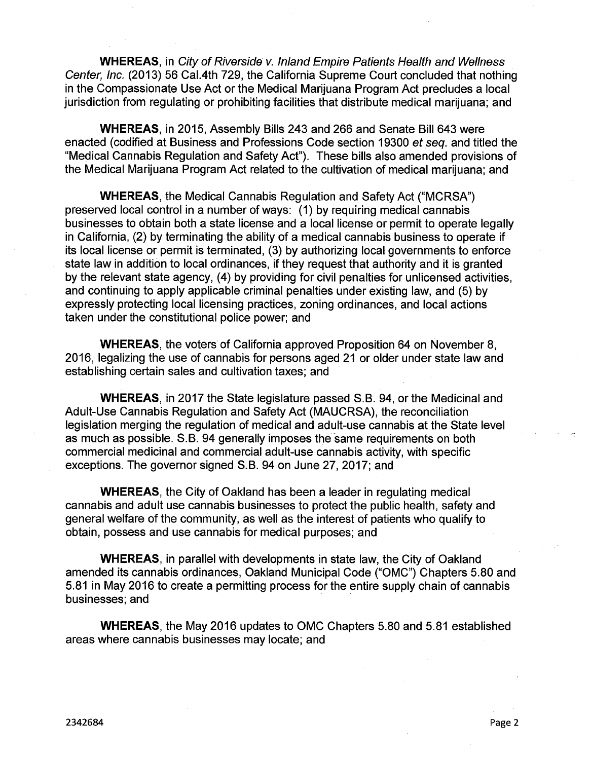**WHEREAS,** in *City of Riverside v. Inland Empire Patients Health and Wellness Center, Inc.* (2013) 56 Cal.4th 729, the California Supreme Court concluded that nothing in the Compassionate Use Act or the Medical Marijuana Program Act precludes a local jurisdiction from regulating or prohibiting facilities that distribute medical marijuana; and

**WHEREAS,** in 2015, Assembly Bills 243 and 266 and Senate Bill 643 were enacted (codified at Business and Professions Code section 19300 *et seq.* and titled the "Medical Cannabis Regulation and Safety Act"). These bills also amended provisions of the Medical Marijuana Program Act related to the cultivation of medical marijuana; and

**WHEREAS,** the Medical Cannabis Regulation and Safety Act ("MCRSA") preserved local control in a number of ways: (1) by requiring medical cannabis businesses to obtain both a state license and a local license or permit to operate legally in California, (2) by terminating the ability of a medical cannabis business to operate if its local license or permit is terminated, (3) by authorizing local governments to enforce state law in addition to local ordinances, if they request that authority and it is granted by the relevant state agency, (4) by providing for civil penalties for unlicensed activities, and continuing to apply applicable criminal penalties under existing law, and (5) by expressly protecting local licensing practices, zoning ordinances, and local actions taken under the constitutional police power; and

**WHEREAS,** the voters of California approved Proposition 64 on November 8, 2016, legalizing the use of cannabis for persons aged 21 or older under state law and establishing certain sales and cultivation taxes; and

**WHEREAS,** in 2017 the State legislature passed S.B. 94, or the Medicinal and Adult-Use Cannabis Regulation and Safety Act (MAUCRSA), the reconciliation legislation merging the regulation of medical and adult-use cannabis at the State level as much as possible. S.B. 94 generally imposes the same requirements on both commercial medicinal and commercial adult-use cannabis activity, with specific exceptions. The governor signed S.B. 94 on June 27, 2017; and

**WHEREAS,** the City of Oakland has been a leader in regulating medical cannabis and adult use cannabis businesses to protect the public health, safety and general welfare of the community, as well as the interest of patients who qualify to obtain, possess and use cannabis for medical purposes; and

**WHEREAS,** in parallel with developments in state law, the City of Oakland amended its cannabis ordinances, Oakland Municipal Code ("OMC") Chapters 5.80 and 5.81 in May 2016 to create a permitting process for the entire supply chain of cannabis businesses; and

**WHEREAS,** the May 2016 updates to OMC Chapters 5.80 and 5.81 established areas where cannabis businesses may locate; and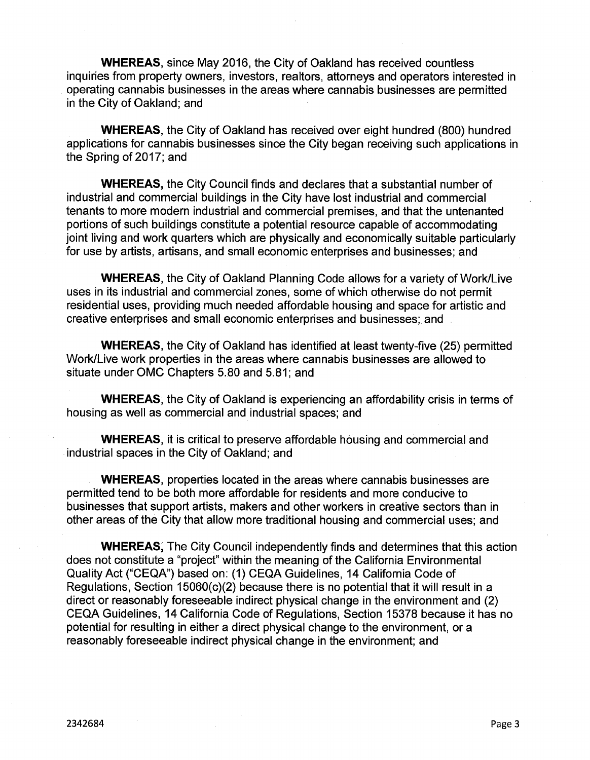**WHEREAS,** since May 2016, the City of Oakland has received countless inquiries from property owners, investors, realtors, attorneys and operators interested in operating cannabis businesses in the areas where cannabis businesses are permitted in the City of Oakland; and

**WHEREAS,** the City of Oakland has received over eight hundred (800) hundred applications for cannabis businesses since the City began receiving such applications in the Spring of 2017; and

**WHEREAS,** the City Council finds and declares that a substantial number of industrial and commercial buildings in the City have lost industrial and commercial tenants to more modern industrial and commercial premises, and that the untenanted portions of such buildings constitute a potential resource capable of accommodating joint living and work quarters which are physically and economically suitable particularly for use by artists, artisans, and small economic enterprises and businesses; and

**WHEREAS,** the City of Oakland Planning Code allows for a variety of Work/Live uses in its industrial and commercial zones, some of which otherwise do not permit residential uses, providing much needed affordable housing and space for artistic and creative enterprises and small economic enterprises and businesses; and

**WHEREAS,** the City of Oakland has identified at least twenty-five (25) permitted Work/Live work properties in the areas where cannabis businesses are allowed to situate under OMC Chapters 5.80 and 5.81; and

**WHEREAS,** the City of Oakland is experiencing an affordability crisis in terms of housing as well as commercial and industrial spaces; and

**WHEREAS,** it is critical to preserve affordable housing and commercial and industrial spaces in the City of Oakland; and

**WHEREAS,** properties located in the areas where cannabis businesses are permitted tend to be both more affordable for residents and more conducive to businesses that support artists, makers and other workers in creative sectors than in other areas of the City that allow more traditional housing and commercial uses; and

**WHEREAS,** The City Council independently finds and determines that this action does not constitute a "project" within the meaning of the California Environmental Quality Act ("CEQA") based on: (1) CEQA Guidelines, 14 California Code of Regulations, Section 15060(c)(2) because there is no potential that it will result in a direct or reasonably foreseeable indirect physical change in the environment and (2) CEQA Guidelines, 14 California Code of Regulations, Section 15378 because it has no potential for resulting in either a direct physical change to the environment, or a reasonably foreseeable indirect physical change in the environment; and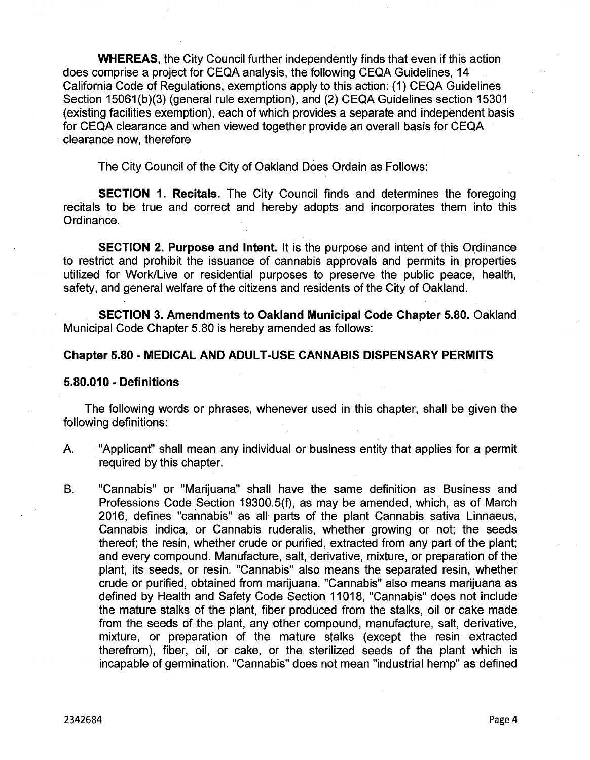**WHEREAS,** the City Council further independently finds that even if this action does comprise a project for CEQA analysis, the following CEQA Guidelines, 14 California Code of Regulations, exemptions apply to this action: (1) CEQA Guidelines Section 15061(b)(3) (general rule exemption), and (2) CEQA Guidelines section 15301 (existing facilities exemption), each of which provides a separate and independent basis for CEQA clearance and when viewed together provide an overall basis for CEQA clearance now, therefore

The City Council of the City of Oakland Does Ordain as Follows:

**SECTION 1. Recitals.** The City Council finds and determines the foregoing recitals to be true and correct and hereby adopts and incorporates them into this Ordinance.

**SECTION 2. Purpose and Intent.** It is the purpose and intent of this Ordinance to restrict and prohibit the issuance of cannabis approvals and permits in properties utilized for Work/Live or residential purposes to preserve the public peace, health, safety, and general welfare of the citizens and residents of the City of Oakland.

**SECTION 3. Amendments to Oakland Municipal Code Chapter 5.80.** Oakland Municipal Code Chapter 5.80 is hereby amended as follows:

## **Chapter 5.80 - MEDICAL AND ADULT-USE CANNABIS DISPENSARY PERMITS**

#### **5.80.010 - Definitions**

The following words or phrases, whenever used in this chapter, shall be given the following definitions:

- A. "Applicant" shall mean any individual or business entity that applies for a permit required by this chapter.
- B. "Cannabis" or "Marijuana" shall have the same definition as Business and Professions Code Section 19300.5(f), as may be amended, which, as of March 2016, defines "cannabis" as all parts of the plant Cannabis sativa Linnaeus, Cannabis indica, or Cannabis ruderalis, whether growing or not; the seeds thereof; the resin, whether crude or purified, extracted from any part of the plant; and every compound. Manufacture, salt, derivative, mixture, or preparation of the plant, its seeds, or resin. "Cannabis" also means the separated resin, whether crude or purified, obtained from marijuana. "Cannabis" also means marijuana as defined by Health and Safety Code Section 11018, "Cannabis" does not include the mature stalks of the plant, fiber produced from the stalks, oil or cake made from the seeds of the plant, any other compound, manufacture, salt, derivative, mixture, or preparation of the mature stalks (except the resin extracted therefrom), fiber, oil, or cake, or the sterilized seeds of the plant which is incapable of germination. "Cannabis" does not mean "industrial hemp" as defined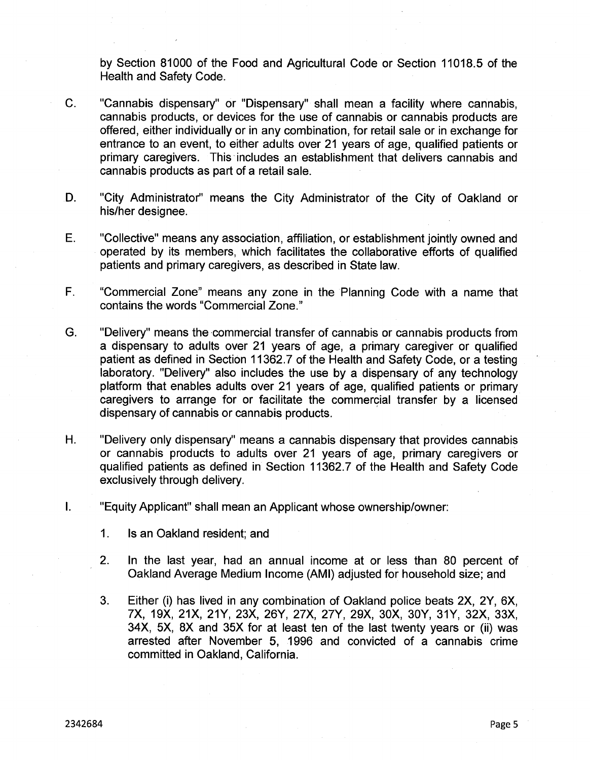by Section 81000 of the Food and Agricultural Code or Section 11018.5 of the Health and Safety Code.

- C. "Cannabis dispensary" or "Dispensary" shall mean a facility where cannabis, cannabis products, or devices for the use of cannabis or cannabis products are offered, either individually or in any combination, for retail sale or in exchange for entrance to an event, to either adults over 21 years of age, qualified patients or primary caregivers. This includes an establishment that delivers cannabis and cannabis products as part of a retail sale.
- D. "City Administrator" means the City Administrator of the City of Oakland or his/her designee.
- "Collective" means any association, affiliation, or establishment jointly owned and operated by its members, which facilitates the collaborative efforts of qualified patients and primary caregivers, as described in State law. E.
- F. "Commercial Zone" means any zone in the Planning Code with a name that contains the words "Commercial Zone."
- G. "Delivery" means the commercial transfer of cannabis or cannabis products from a dispensary to adults over 21 years of age, a primary caregiver or qualified patient as defined in Section 11362.7 of the Health and Safety Code, or a testing laboratory. "Delivery" also includes the use by a dispensary of any technology platform that enables adults over 21 years of age, qualified patients or primary caregivers to arrange for or facilitate the commercial transfer by a licensed dispensary of cannabis or cannabis products.
- H. "Delivery only dispensary" means a cannabis dispensary that provides cannabis or cannabis products to adults over 21 years of age, primary caregivers or qualified patients as defined in Section 11362.7 of the Health and Safety Code exclusively through delivery.
- I. "Equity Applicant" shall mean an Applicant whose ownership/owner:
	- 1. Is an Oakland resident; and
	- 2. In the last year, had an annual income at or less than 80 percent of Oakland Average Medium Income (AMI) adjusted for household size; and
	- 3. Either (i) has lived in any combination of Oakland police beats 2X, 2Y, 6X, 7X, 19X, 21X, 21Y, 23X, 26Y, 27X, 27Y, 29X, 30X, 30Y, 31Y, 32X, 33X, 34X, 5X, 8X and 35X for at least ten of the last twenty years or (ii) was arrested after November 5, 1996 and convicted of a cannabis crime committed in Oakland, California.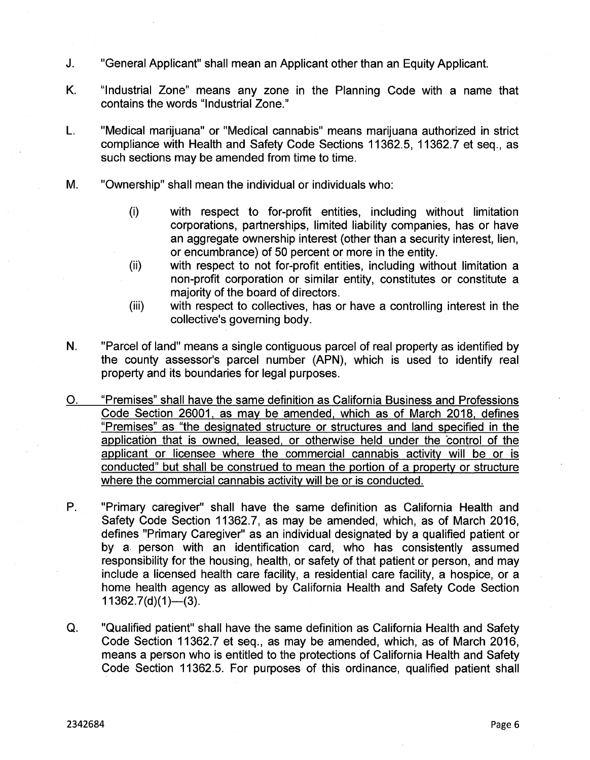- J. "General Applicant" shall mean an Applicant other than an Equity Applicant.
- K. "Industrial Zone" means any zone in the Planning Code with a name that contains the words "Industrial Zone."
- L. "Medical marijuana" or "Medical cannabis" means marijuana authorized in strict compliance with Health and Safety Code Sections 11362.5, 11362.7 et seq., as such sections may be amended from time to time.
- M. "Ownership" shall mean the individual or individuals who:
	- (i) with respect to for-profit entities, including without limitation corporations, partnerships, limited liability companies, has or have an aggregate ownership interest (other than a security interest, lien, or encumbrance) of 50 percent or more in the entity,
	- with respect to not for-profit entities, including without limitation a non-profit corporation or similar entity, constitutes or constitute a majority of the board of directors. (ii)
	- with respect to collectives, has or have a controlling interest in the collective's governing body. (iii)
- N. "Parcel of land" means a single contiguous parcel of real property as identified by the county assessor's parcel number (APN), which is used to identify real property and its boundaries for legal purposes.
- O. "Premises" shall have the same definition as California Business and Professions Code Section 26001, as may be amended, which as of March 2018, defines "Premises" as "the designated structure or structures and land specified in the application that is owned, leased, or otherwise held under the control of the applicant or licensee where the commercial cannabis activity will be or is conducted" but shall be construed to mean the portion of a property or structure where the commercial cannabis activity will be or is conducted.
- P. "Primary caregiver" shall have the same definition as California Health and Safety Code Section 11362.7, as may be amended, which, as of March 2016, defines "Primary Caregiver" as an individual designated by a qualified patient or by a person with an identification card, who has consistently assumed responsibility for the housing, health, or safety of that patient or person, and may include a licensed health care facility, a residential care facility, a hospice, or a home health agency as allowed by California Health and Safety Code Section  $11362.7(d)(1)$ —(3).
- **Q.** "Qualified patient" shall have the same definition as California Health and Safety Code Section 11362.7 et seq., as may be amended, which, as of March 2016, means a person who is entitled to the protections of California Health and Safety Code Section 11362.5. For purposes of this ordinance, qualified patient shall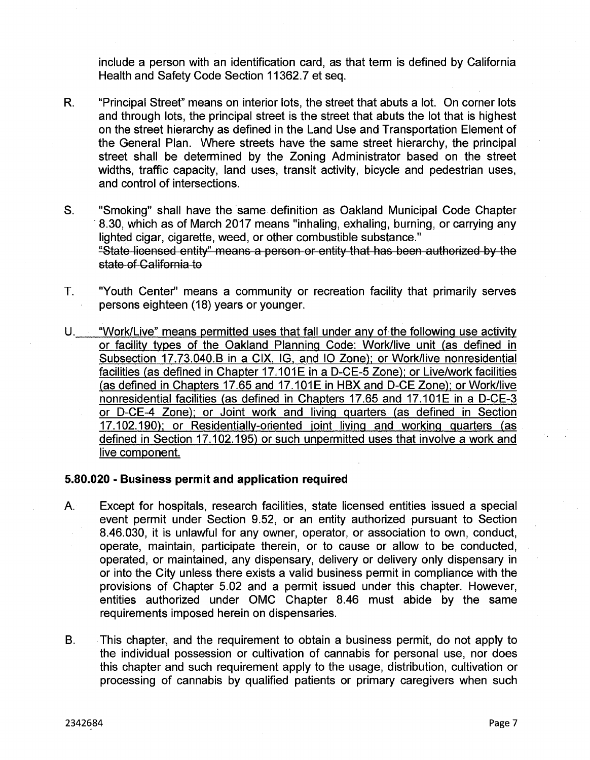include a person with an identification card, as that term is defined by California Health and Safety Code Section 11362.7 et seq.

- "Principal Street" means on interior lots, the street that abuts a lot. On corner lots and through lots, the principal street is the street that abuts the lot that is highest on the street hierarchy as defined in the Land Use and Transportation Element of the General Plan. Where streets have the same street hierarchy, the principal street shall be determined by the Zoning Administrator based on the street widths, traffic capacity, land uses, transit activity, bicycle and pedestrian uses, and control of intersections. R.
- S. "Smoking" shall have the same definition as Oakland Municipal Code Chapter 8.30, which as of March 2017 means "inhaling, exhaling, burning, or carrying any lighted cigar, cigarette, weed, or other combustible substance." "State licensed entity" means a person or-entity-that has been-authorized by the state of California to
- "Youth Center" means a community or recreation facility that primarily serves persons eighteen (18) years or younger. T.
- "Work/Live" means permitted uses that fall under any of the following use activity or facility types of the Oakland Planning Code: Work/live unit (as defined in Subsection 17.73.040.B in a CIX, IG, and IQ Zone); or Work/live nonresidential U. facilities (as defined in Chapter 17.101E in a D-CE-5 Zone): or Live/work facilities (as defined in Chapters 17.65 and 17.101E in HBX and D-CE Zone); or Work/live nonresidential facilities (as defined in Chapters 17.65 and 17.101E in a D-CE-3 or D-CE-4 Zone); or Joint work and living quarters (as defined in Section 17.102.190); or Residentiallv-oriented joint living and working quarters (as defined in Section 17.102.195) or such unpermitted uses that involve a work and live component.

## **5.80.020 - Business permit and application required**

- Except for hospitals, research facilities, state licensed entities issued a special event permit under Section 9.52, or an entity authorized pursuant to Section 8.46.030, it is unlawful for any owner, operator, or association to own, conduct, operate, maintain, participate therein, or to cause or allow to be conducted, operated, or maintained, any dispensary, delivery or delivery only dispensary in or into the City unless there exists a valid business permit in compliance with the provisions of Chapter 5.02 and a permit issued under this chapter. However, entities authorized under OMC Chapter 8.46 must abide by the same requirements imposed herein on dispensaries. A.
- This chapter, and the requirement to obtain a business permit, do not apply to the individual possession or cultivation of cannabis for personal use, nor does this chapter and such requirement apply to the usage, distribution, cultivation or processing of cannabis by qualified patients or primary caregivers when such B.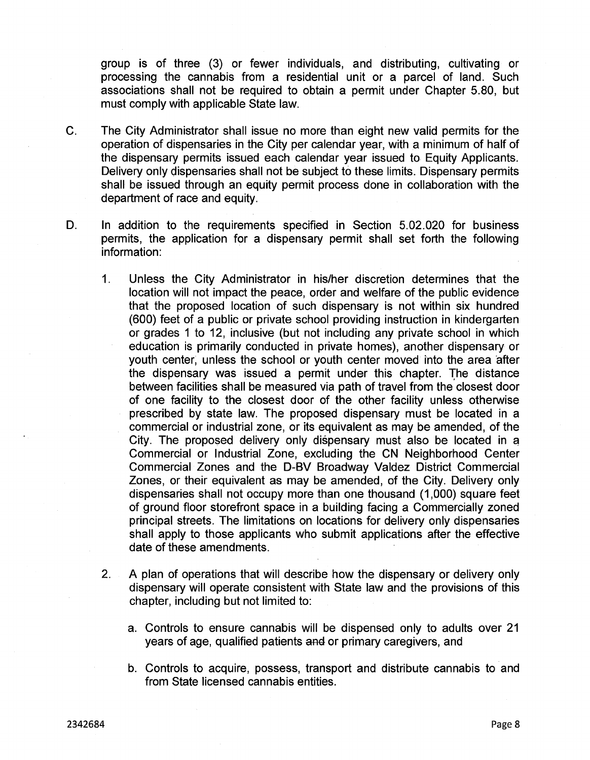group is of three (3) or fewer individuals, and distributing, cultivating or processing the cannabis from a residential unit or a parcel of land. Such associations shall not be required to obtain a permit under Chapter 5.80, but must comply with applicable State law.

- The City Administrator shall issue no more than eight new valid permits for the operation of dispensaries in the City per calendar year, with a minimum of half of the dispensary permits issued each calendar year issued to Equity Applicants. Delivery only dispensaries shall not be subject to these limits. Dispensary permits shall be issued through an equity permit process done in collaboration with the department of race and equity. C.
- D. In addition to the requirements specified in Section 5.02.020 for business permits, the application for a dispensary permit shall set forth the following information:
	- 1. Unless the City Administrator in his/her discretion determines that the location will not impact the peace, order and welfare of the public evidence that the proposed location of such dispensary is not within six hundred (600) feet of a public or private school providing instruction in kindergarten or grades <sup>1</sup> to 12, inclusive (but not including any private school in which education is primarily conducted in private homes), another dispensary or youth center, unless the school or youth center moved into the area after the dispensary was issued a permit under this chapter. The distance between facilities shall be measured via path of travel from the closest door of one facility to the closest door of the other facility unless otherwise prescribed by state law. The proposed dispensary must be located in a commercial or industrial zone, or its equivalent as may be amended, of the City. The proposed delivery only dispensary must also be located in *a* Commercial or Industrial Zone, excluding the CN Neighborhood Center Commercial Zones and the D-BV Broadway Valdez District Commercial Zones, or their equivalent as may be amended, of the City. Delivery only dispensaries shall not occupy more than one thousand (1,000) square feet of ground floor storefront space in a building facing a Commercially zoned principal streets. The limitations on locations for delivery only dispensaries shall apply to those applicants who submit applications after the effective date of these amendments.
	- 2. A plan of operations that will describe how the dispensary or delivery only dispensary will operate consistent with State law and the provisions of this chapter, including but not limited to:
		- a. Controls to ensure cannabis will be dispensed only to adults over 21 years of age, qualified patients and or primary caregivers, and
		- b. Controls to acquire, possess, transport and distribute cannabis to and from State licensed cannabis entities.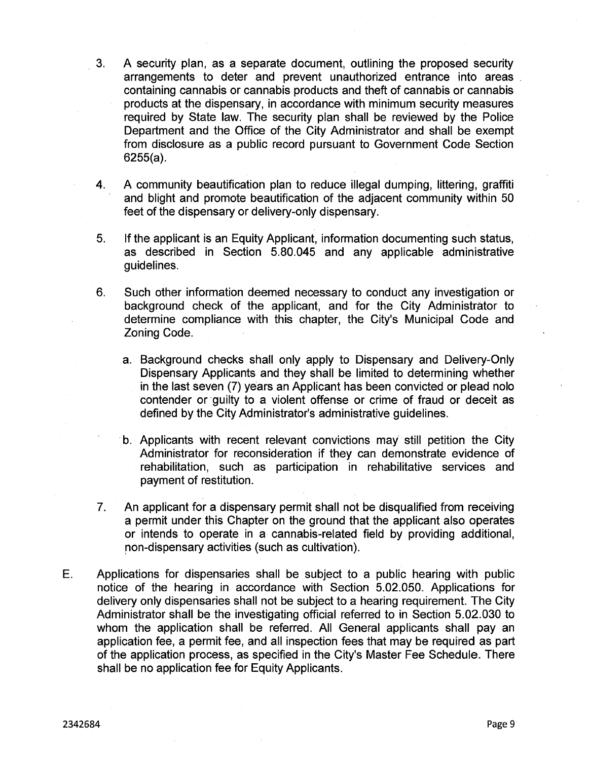- 3. A security plan, as a separate document, outlining the proposed security arrangements to deter and prevent unauthorized entrance into areas containing cannabis or cannabis products and theft of cannabis or cannabis products at the dispensary, in accordance with minimum security measures required by State law. The security plan shall be reviewed by the Police Department and the Office of the City Administrator and shall be exempt from disclosure as a public record pursuant to Government Code Section 6255(a).
- A community beautification plan to reduce illegal dumping, littering, graffiti and blight and promote beautification of the adjacent community within 50 feet of the dispensary or delivery-only dispensary. 4.
- If the applicant is an Equity Applicant, information documenting such status, as described in Section 5.80.045 and any applicable administrative guidelines. 5.
- Such other information deemed necessary to conduct any investigation or background check of the applicant, and for the City Administrator to determine compliance with this chapter, the City's Municipal Code and Zoning Code. 6.
	- a. Background checks shall only apply to Dispensary and Delivery-Only Dispensary Applicants and they shall be limited to determining whether in the last seven (7) years an Applicant has been convicted or plead nolo contender or guilty to a violent offense or crime of fraud or deceit as defined by the City Administrator's administrative guidelines.
	- b. Applicants with recent relevant convictions may still petition the City Administrator for reconsideration if they can demonstrate evidence of rehabilitation, such as participation in rehabilitative services and payment of restitution.
- An applicant for a dispensary permit shall not be disqualified from receiving a permit under this Chapter on the ground that the applicant also operates or intends to operate in a cannabis-related field by providing additional, non-dispensary activities (such as cultivation). 7.
- Applications for dispensaries shall be subject to a public hearing with public notice of the hearing in accordance with Section 5.02.050. Applications for delivery only dispensaries shall not be subject to a hearing requirement. The City Administrator shall be the investigating official referred to in Section 5.02.030 to whom the application shall be referred. All General applicants shall pay an application fee, a permit fee, and all inspection fees that may be required as part of the application process, as specified in the City's Master Fee Schedule. There shall be no application fee for Equity Applicants. E.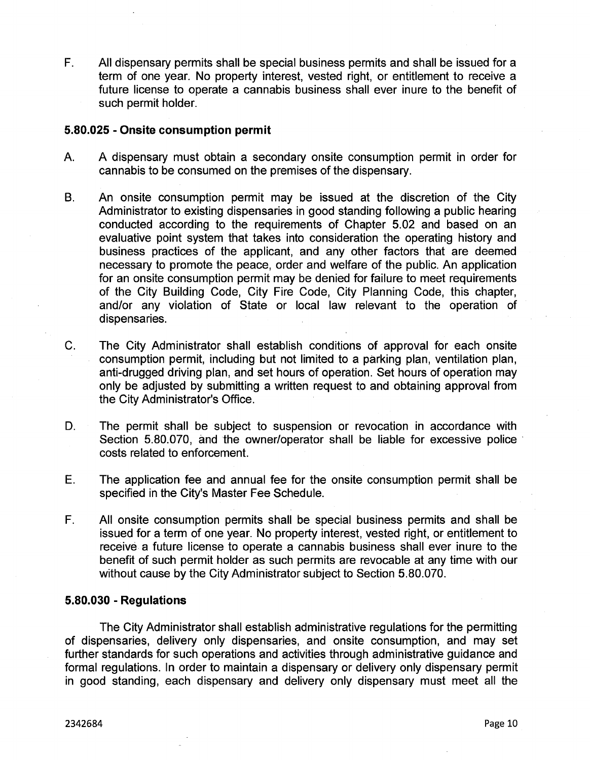All dispensary permits shall be special business permits and shall be issued for a term of one year. No property interest, vested right, or entitlement to receive a future license to operate a cannabis business shall ever inure to the benefit of such permit holder. F.

## **5.80.025 - Onsite consumption permit**

- A dispensary must obtain a secondary onsite consumption permit in order for cannabis to be consumed on the premises of the dispensary. A.
- An onsite consumption permit may be issued at the discretion of the City Administrator to existing dispensaries in good standing following a public hearing conducted according to the requirements of Chapter 5.02 and based on an evaluative point system that takes into consideration the operating history and business practices of the applicant, and any other factors that are deemed necessary to promote the peace, order and welfare of the public. An application for an onsite consumption permit may be denied for failure to meet requirements of the City Building Code, City Fire Code, City Planning Code, this chapter, and/or any violation of State or local law relevant to the operation of dispensaries. B.
- C. The City Administrator shall establish conditions of approval for each onsite consumption permit, including but not limited to a parking plan, ventilation plan, anti-drugged driving plan, and set hours of operation. Set hours of operation may only be adjusted by submitting a written request to and obtaining approval from the City Administrator's Office.
- The permit shall be subject to suspension or revocation in accordance with Section 5.80.070, and the owner/operator shall be liable for excessive police costs related to enforcement. D.
- The application fee and annual fee for the onsite consumption permit shall be specified in the City's Master Fee Schedule. E.
- F. All onsite consumption permits shall be special business permits and shall be issued for a term of one year. No property interest, vested right, or entitlement to receive a future license to operate a cannabis business shall ever inure to the benefit of such permit holder as such permits are revocable at any time with our without cause by the City Administrator subject to Section 5.80.070.

# **5.80.030 - Regulations**

The City Administrator shall establish administrative regulations for the permitting of dispensaries, delivery only dispensaries, and onsite consumption, and may set further standards for such operations and activities through administrative guidance and formal regulations. In order to maintain a dispensary or delivery only dispensary permit in good standing, each dispensary and delivery only dispensary must meet all the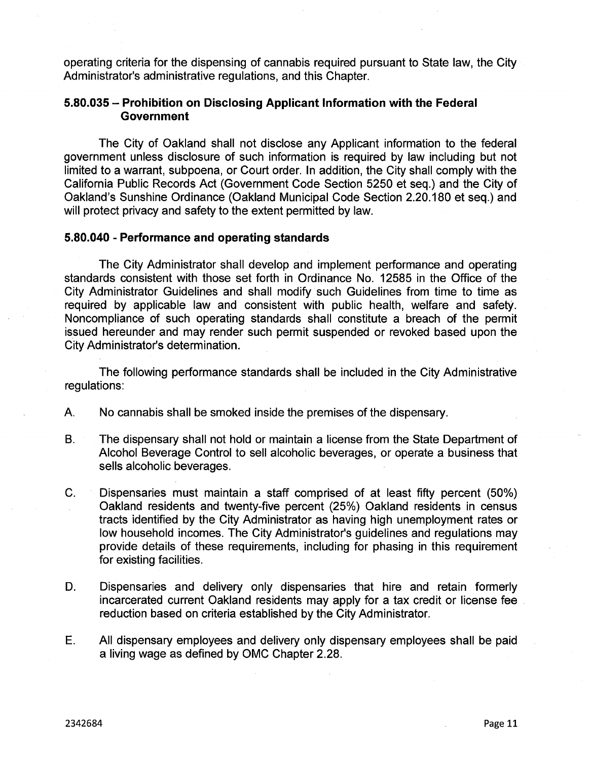operating criteria for the dispensing of cannabis required pursuant to State law, the City Administrator's administrative regulations, and this Chapter.

# **5.80.035 - Prohibition on Disclosing Applicant information with the Federal Government**

The City of Oakland shall not disclose any Applicant information to the federal government unless disclosure of such information is required by law including but not limited to a warrant, subpoena, or Court order. In addition, the City shall comply with the California Public Records Act (Government Code Section 5250 et seq.) and the City of Oakland's Sunshine Ordinance (Oakland Municipal Code Section 2.20.180 et seq.) and will protect privacy and safety to the extent permitted by law.

# **5.80.040 - Performance and operating standards**

The City Administrator shall develop and implement performance and operating standards consistent with those set forth in Ordinance No. 12585 in the Office of the City Administrator Guidelines and shall modify such Guidelines from time to time as required by applicable law and consistent with public health, welfare and safety. Noncompliance of such operating standards shall constitute a breach of the permit issued hereunder and may render such permit suspended or revoked based upon the City Administrator's determination.

The following performance standards shall be included in the City Administrative regulations:

- A. No cannabis shall be smoked inside the premises of the dispensary.
- The dispensary shall not hold or maintain a license from the State Department of Alcohol Beverage Control to sell alcoholic beverages, or operate a business that sells alcoholic beverages. B.
- C. Dispensaries must maintain a staff comprised of at least fifty percent (50%) Oakland residents and twenty-five percent (25%) Oakland residents in census tracts identified by the City Administrator as having high unemployment rates or low household incomes. The City Administrator's guidelines and regulations may provide details of these requirements, including for phasing in this requirement for existing facilities.
- Dispensaries and delivery only dispensaries that hire and retain formerly incarcerated current Oakland residents may apply for a tax credit or license fee. reduction based on criteria established by the City Administrator. D.
- E. All dispensary employees and delivery only dispensary employees shall be paid a living wage as defined by OMC Chapter 2.28.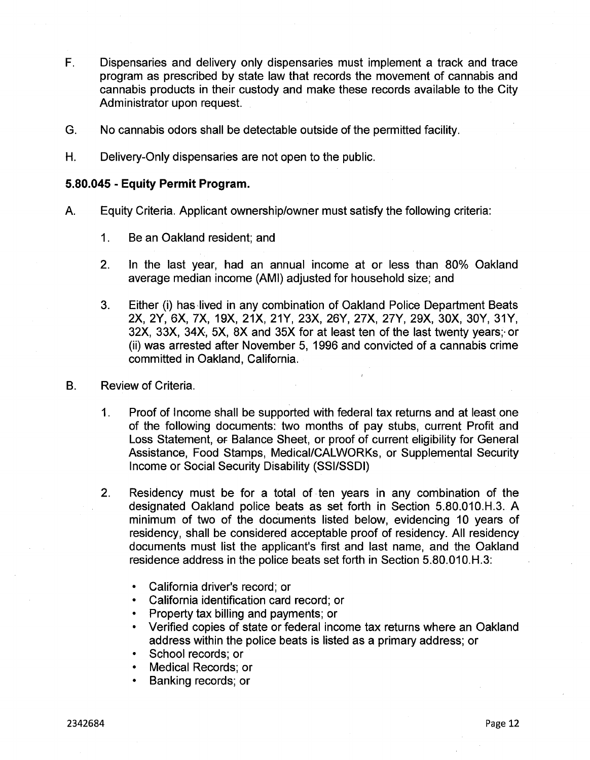- F. Dispensaries and delivery only dispensaries must implement a track and trace program as prescribed by state law that records the movement of cannabis and cannabis products in their custody and make these records available to the City Administrator upon request.
- G. No cannabis odors shall be detectable outside of the permitted facility.
- H. Delivery-Only dispensaries are not open to the public.

## **5.80.045 - Equity Permit Program.**

- A. Equity Criteria. Applicant ownership/owner must satisfy the following criteria:
	- 1. Be an Oakland resident; and
	- In the last year, had an annual income at or less than 80% Oakland average median income (AMI) adjusted for household size; and 2.
	- Either (i) has lived in any combination of Oakland Police Department Beats 2X, 2Y, 6X, 7X, 19X, 21X, 21Y, 23X, 26Y, 27X, 27Y, 29X, 30X, 30Y, 31Y, 32X, 33X, 34X, 5X, 8X and 35X for at least ten of the last twenty years;- or (ii) was arrested after November 5, 1996 and convicted of a cannabis crime committed in Oakland, California. 3.

#### B. Review of Criteria.

- Proof of Income shall be supported with federal tax returns and at least one of the following documents: two months of pay stubs, current Profit and Loss Statement, or Balance Sheet, or proof of current eligibility for General Assistance, Food Stamps, Medical/CALWORKs, or Supplemental Security Income or Social Security Disability (SSI/SSDI) 1.
- Residency must be for a total of ten years in any combination of the designated Oakland police beats as set forth in Section 5.80.010.H.3. A minimum of two of the documents listed below, evidencing 10 years of residency, shall be considered acceptable proof of residency. All residency documents must list the applicant's first and last name, and the Oakland residence address in the police beats set forth in Section 5.80.010.H.3: 2.
	- California driver's record; or
	- California identification card record; or
	- Property tax billing and payments; or
	- Verified copies of state or federal income tax returns where an Oakland address within the police beats is listed as a primary address; or
	- School records; or
	- Medical Records; or
	- Banking records; or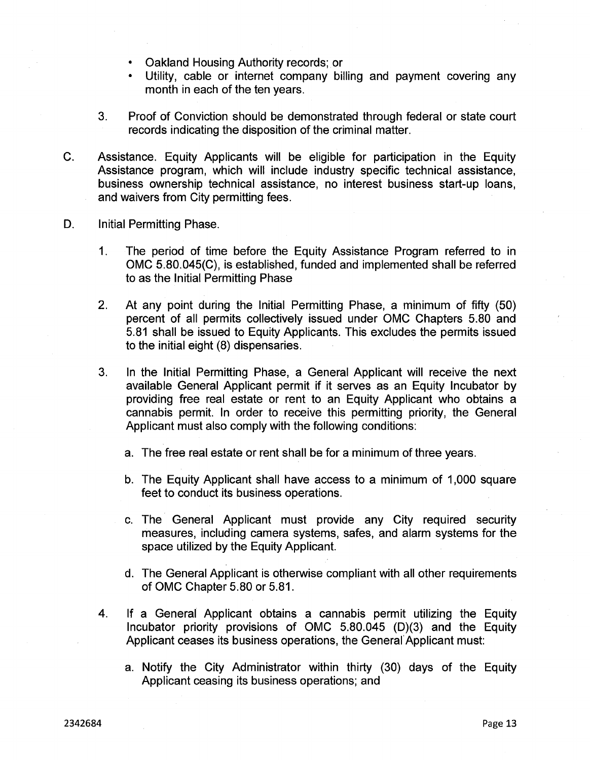- Oakland Housing Authority records; or
- Utility, cable or internet company billing and payment covering any month in each of the ten years.
- Proof of Conviction should be demonstrated through federal or state court records indicating the disposition of the criminal matter. 3.
- C. Assistance. Equity Applicants will be eligible for participation in the Equity Assistance program, which will include industry specific technical assistance, business ownership technical assistance, no interest business start-up loans, and waivers from City permitting fees.
- D. Initial Permitting Phase.
	- 1. The period of time before the Equity Assistance Program referred to in OMC 5.80.045(C), is established, funded and implemented shall be referred to as the Initial Permitting Phase
	- At any point during the Initial Permitting Phase, a minimum of fifty (50) percent of all permits collectively issued under OMC Chapters 5.80 and 5.81 shall be issued to Equity Applicants. This excludes the permits issued to the initial eight (8) dispensaries. 2.
	- In the Initial Permitting Phase, a General Applicant will receive the next available General Applicant permit if it serves as an Equity Incubator by providing free real estate or rent to an Equity Applicant who obtains a cannabis permit. In order to receive this permitting priority, the General Applicant must also comply with the following conditions: 3.
		- a. The free real estate or rent shall be for a minimum of three years.
		- b. The Equity Applicant shall have access to a minimum of 1,000 square feet to conduct its business operations.
		- c. The General Applicant must provide any City required security measures, including camera systems, safes, and alarm systems for the space utilized by the Equity Applicant.
		- d. The General Applicant is otherwise compliant with all other requirements of OMC Chapter 5.80 or 5.81.
	- If a General Applicant obtains a cannabis permit utilizing the Equity Incubator priority provisions of OMC 5.80.045 (D)(3) and the Equity Applicant ceases its business operations, the General Applicant must: 4.
		- a. Notify the City Administrator within thirty (30) days of the Equity Applicant ceasing its business operations; and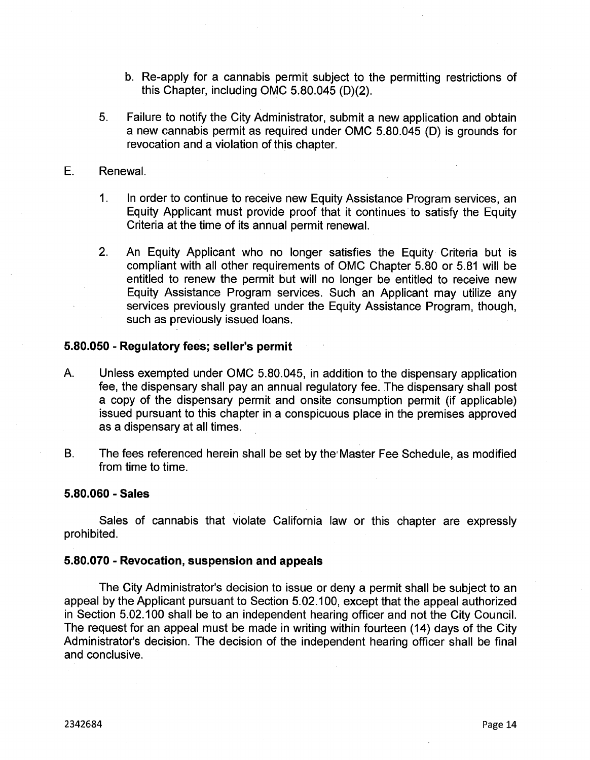- b. Re-apply for a cannabis permit subject to the permitting restrictions of this Chapter, including OMC 5.80.045 (D)(2).
- Failure to notify the City Administrator, submit a new application and obtain a new cannabis permit as required under OMC 5.80.045 (D) is grounds for revocation and a violation of this chapter. 5.
- E. Renewal.
	- 1. In order to continue to receive new Equity Assistance Program services, an Equity Applicant must provide proof that it continues to satisfy the Equity Criteria at the time of its annual permit renewal.
	- 2. An Equity Applicant who no longer satisfies the Equity Criteria but is compliant with all other requirements of OMC Chapter 5.80 or 5.81 will be entitled to renew the permit but will no longer be entitled to receive new Equity Assistance Program services. Such an Applicant may utilize any services previously granted under the Equity Assistance Program, though, such as previously issued loans.

#### **5.80.050 - Regulatory fees; seller's permit**

- A. Unless exempted under OMC 5.80.045, in addition to the dispensary application fee, the dispensary shall pay an annual regulatory fee. The dispensary shall post a copy of the dispensary permit and onsite consumption permit (if applicable) issued pursuant to this chapter in a conspicuous place in the premises approved as a dispensary at all times.
- B. The fees referenced herein shall be set by the'Master Fee Schedule, as modified from time to time.

#### **5.80.060 - Sales**

Sales of cannabis that violate California law or this chapter are expressly prohibited.

#### **5.80.070 - Revocation, suspension and appeals**

The City Administrator's decision to issue or deny a permit shall be subject to an appeal by the Applicant pursuant to Section 5.02.100, except that the appeal authorized in Section 5.02.100 shall be to an independent hearing officer and not the City Council. The request for an appeal must be made in writing within fourteen (14) days of the City Administrator's decision. The decision of the independent hearing officer shall be final and conclusive.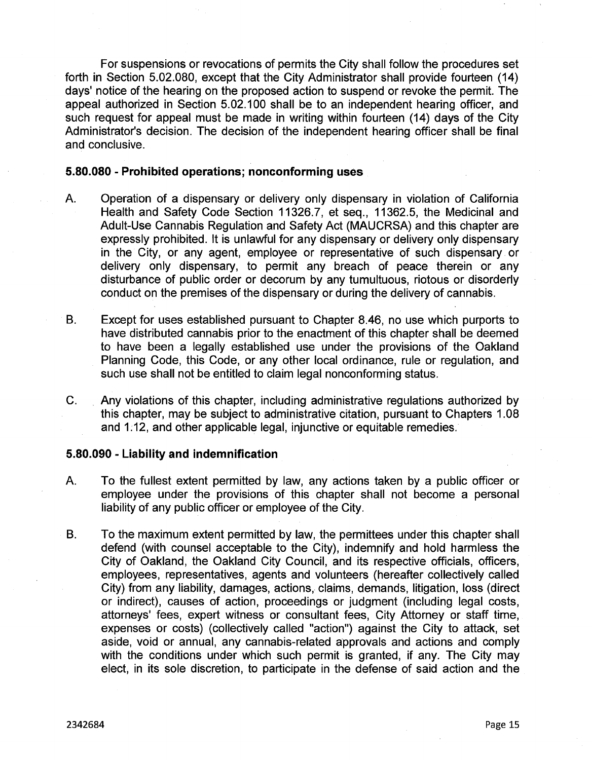For suspensions or revocations of permits the City shall follow the procedures set forth in Section 5.02.080, except that the City Administrator shall provide fourteen (14) days' notice of the hearing on the proposed action to suspend or revoke the permit. The appeal authorized in Section 5.02.100 shall be to an independent hearing officer, and such request for appeal must be made in writing within fourteen (14) days of the City Administrator's decision. The decision of the independent hearing officer shall be final and conclusive.

#### **5.80.080 - Prohibited operations; nonconforming uses**

- A. Operation of a dispensary or delivery only dispensary in violation of California Health and Safety Code Section 11326.7, et seq., 11362.5, the Medicinal and Adult-Use Cannabis Regulation and Safety Act (MAUCRSA) and this chapter are expressly prohibited. It is unlawful for any dispensary or delivery only dispensary in the City, or any agent, employee or representative of such dispensary or delivery only dispensary, to permit any breach of peace therein or any disturbance of public order or decorum by any tumultuous, riotous or disorderly conduct on the premises of the dispensary or during the delivery of cannabis.
- B. Except for uses established pursuant to Chapter 8.46, no use which purports to have distributed cannabis prior to the enactment of this chapter shall be deemed to have been a legally established use under the provisions of the Oakland Planning Code, this Code, or any other local ordinance, rule or regulation, and such use shall not be entitled to claim legal nonconforming status.
- C. Any violations of this chapter, including administrative regulations authorized by this chapter, may be subject to administrative citation, pursuant to Chapters 1.08 and 1.12, and other applicable legal, injunctive or equitable remedies.

#### **5.80.090 - Liability and indemnification**

- To the fullest extent permitted by law, any actions taken by a public officer or employee under the provisions of this chapter shall not become a personal liability of any public officer or employee of the City. A.
- B. To the maximum extent permitted by law, the permittees under this chapter shall defend (with counsel acceptable to the City), indemnify and hold harmless the City of Oakland, the Oakland City Council, and its respective officials, officers, employees, representatives, agents and volunteers (hereafter collectively called City) from any liability, damages, actions, claims, demands, litigation, loss (direct or indirect), causes of action, proceedings or judgment (including legal costs, attorneys' fees, expert witness or consultant fees, City Attorney or staff time, expenses or costs) (collectively called "action") against the City to attack, set aside, void or annual, any cannabis-related approvals and actions and comply with the conditions under which such permit is granted, if any. The City may elect, in its sole discretion, to participate in the defense of said action and the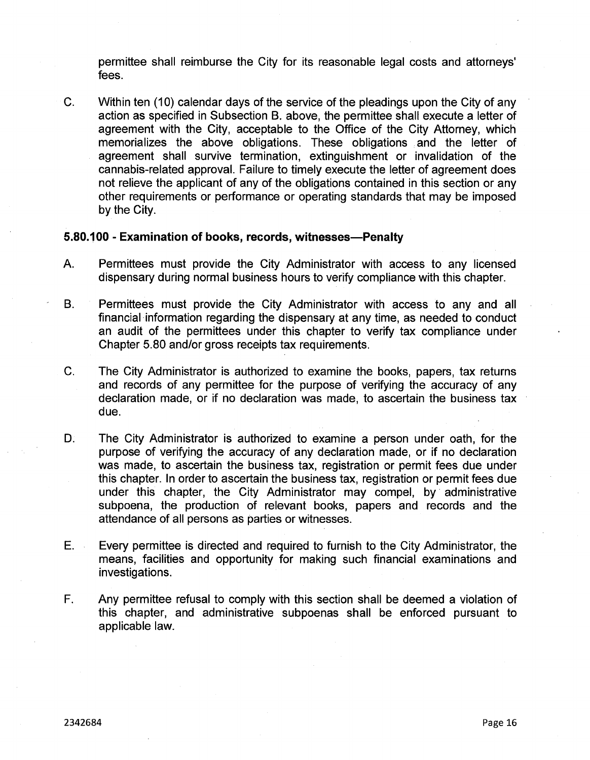permittee shall reimburse the City for its reasonable legal costs and attorneys' fees.

C. Within ten (10) calendar days of the service of the pleadings upon the City of any action as specified in Subsection B. above, the permittee shall execute a letter of agreement with the City, acceptable to the Office of the City Attorney, which memorializes the above obligations. These obligations and the letter of agreement shall survive termination, extinguishment or invalidation of the cannabis-related approval. Failure to timely execute the letter of agreement does not relieve the applicant of any of the obligations contained in this section or any other requirements or performance or operating standards that may be imposed by the City.

#### **5.80.100 - Examination of books, records, witnesses—Penalty**

- A. Permittees must provide the City Administrator with access to any licensed dispensary during normal business hours to verify compliance with this chapter.
- B. Permittees must provide the City Administrator with access to any and all financial information regarding the dispensary at any time, as needed to conduct an audit of the permittees under this chapter to verify tax compliance under Chapter 5.80 and/or gross receipts tax requirements.
- C. The City Administrator is authorized to examine the books, papers, tax returns and records of any permittee for the purpose of verifying the accuracy of any declaration made, or if no declaration was made, to ascertain the business tax due.
- D. The City Administrator is authorized to examine a person under oath, for the purpose of verifying the accuracy of any declaration made, or if no declaration was made, to ascertain the business tax, registration or permit fees due under this chapter. In order to ascertain the business tax, registration or permit fees due under this chapter, the City Administrator may compel, by administrative subpoena, the production of relevant books, papers and records and the attendance of all persons as parties or witnesses.
- E. Every permittee is directed and required to furnish to the City Administrator, the means, facilities and opportunity for making such financial examinations and investigations.
- Any permittee refusal to comply with this section shall be deemed a violation of this chapter, and administrative subpoenas shall be enforced pursuant to applicable law. F.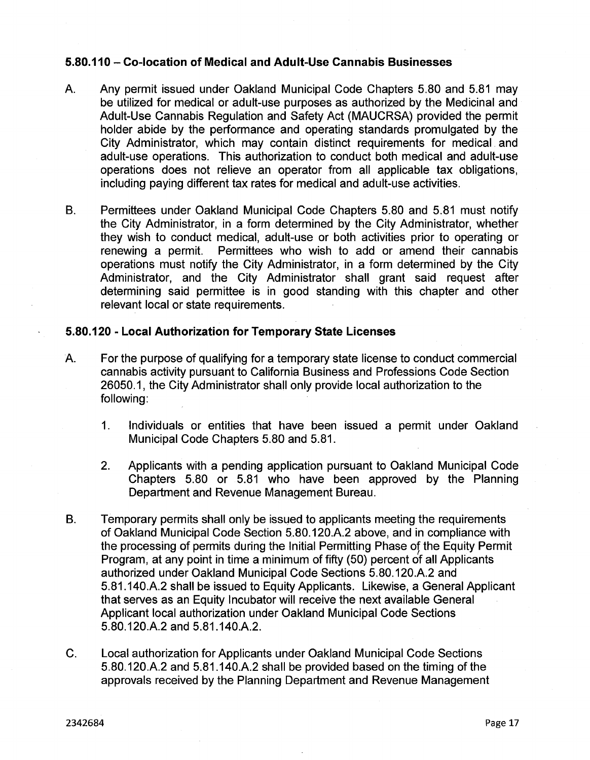# **5.80.110 - Co-location of Medical and Adult-Use Cannabis Businesses**

- A. Any permit issued under Oakland Municipal Code Chapters 5.80 and 5.81 may be utilized for medical or adult-use purposes as authorized by the Medicinal and Adult-Use Cannabis Regulation and Safety Act (MAUCRSA) provided the permit holder abide by the performance and operating standards promulgated by the City Administrator, which may contain distinct requirements for medical and adult-use operations. This authorization to conduct both medical and adult-use operations does not relieve an operator from all applicable tax obligations, including paying different tax rates for medical and adult-use activities.
- Permittees under Oakland Municipal Code Chapters 5.80 and 5.81 must notify the City Administrator, in a form determined by the City Administrator, whether they wish to conduct medical, adult-use or both activities prior to operating or renewing a permit. Permittees who wish to add or amend their cannabis operations must notify the City Administrator, in a form determined by the City Administrator, and the City Administrator shall grant said request after determining said permittee is in good standing with this chapter and other relevant local or state requirements. B.

## **5.80.120 - Local Authorization for Temporary State Licenses**

- A. For the purpose of qualifying for a temporary state license to conduct commercial cannabis activity pursuant to California Business and Professions Code Section 26050.1, the City Administrator shall only provide local authorization to the following:
	- 1. Individuals or entities that have been issued a permit under Oakland Municipal Code Chapters 5.80 and 5.81.
	- Applicants with a pending application pursuant to Oakland Municipal Code Chapters 5.80 or 5.81 who have been approved by the Planning Department and Revenue Management Bureau. 2.
- B. Temporary permits shall only be issued to applicants meeting the requirements of Oakland Municipal Code Section 5.80.120.A.2 above, and in compliance with the processing of permits during the Initial Permitting Phase of the Equity Permit Program, at any point in time a minimum of fifty (50) percent of all Applicants authorized under Oakland Municipal Code Sections 5.80.120.A.2 and 5.81.140.A.2 shall be issued to Equity Applicants. Likewise, a General Applicant that serves as an Equity Incubator will receive the next available General Applicant local authorization under Oakland Municipal Code Sections 5.80.120.A.2 and 5.81.140.A.2.
- C. Local authorization for Applicants under Oakland Municipal Code Sections 5.80.120.A.2 and 5.81.140.A.2 shall be provided based on the timing of the approvals received by the Planning Department and Revenue Management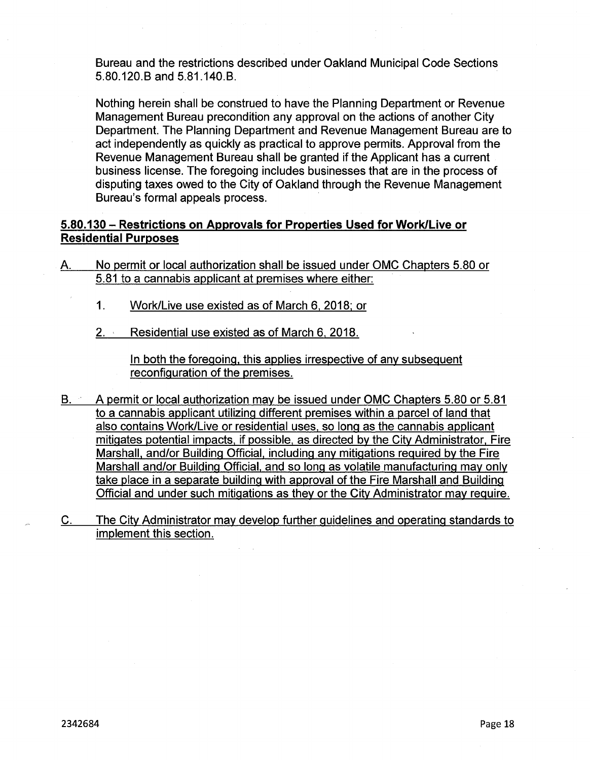Bureau and the restrictions described under Oakland Municipal Code Sections 5.80.120.B and 5.81.140.B.

Nothing herein shall be construed to have the Planning Department or Revenue Management Bureau precondition any approval on the actions of another City Department. The Planning Department and Revenue Management Bureau are to act independently as quickly as practical to approve permits. Approval from the Revenue Management Bureau shall be granted if the Applicant has a current business license. The foregoing includes businesses that are in the process of disputing taxes owed to the City of Oakland through the Revenue Management Bureau's formal appeals process.

# **5.80.130 - Restrictions on Approvals for Properties Used for Work/Live or Residential Purposes**

- A. No permit or local authorization shall be issued under OMC Chapters 5.80 or 5.81 to a cannabis applicant at premises where either:
	- 1. Work/Live use existed as of March 6, 2018; or
	- 2. Residential use existed as of March 6, 2018.

In both the foregoing, this applies irrespective of any subsequent reconfiguration of the premises.

- B. A permit or local authorization may be issued under OMC Chapters 5.80 or 5.81 to a cannabis applicant utilizing different premises within a parcel of land that also contains Work/Live or residential uses, so long as the cannabis applicant mitigates potential impacts, if possible, as directed by the City Administrator, Fire Marshall, and/or Building Official, including any mitigations reguired by the Fire Marshall and/or Building Official, and so long as volatile manufacturing may only take place in a separate building with approval of the Fire Marshall and Building Official and under such mitigations as they or the City Administrator may reguire.
- C. The City Administrator may develop further guidelines and operating standards to implement this section.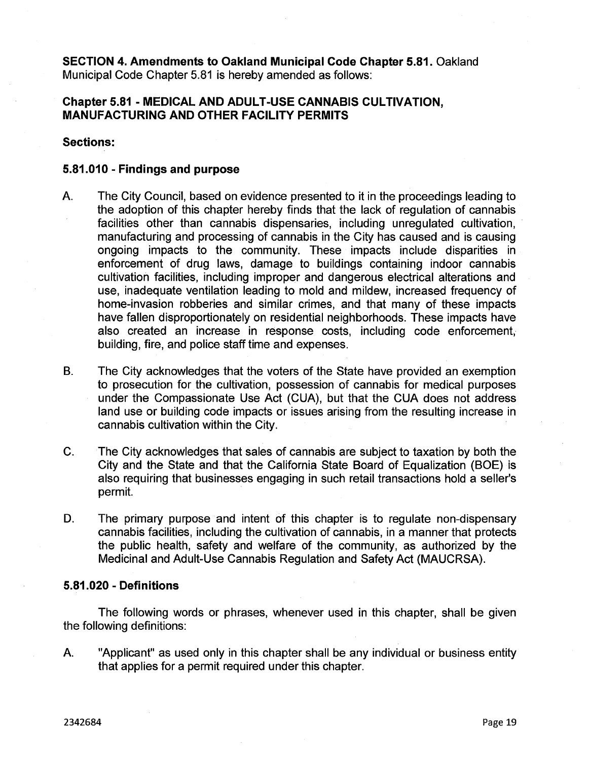**SECTION 4. Amendments to Oakland Municipal Code Chapter 5.81.** Oakland Municipal Code Chapter 5.81 is hereby amended as follows:

# **Chapter 5.81 - MEDICAL AND ADULT-USE CANNABIS CULTIVATION MANUFACTURING AND OTHER FACILITY PERMITS**

**Sections:**

# **5.81.010 - Findings and purpose**

- A. The City Council, based on evidence presented to it in the proceedings leading to the adoption of this chapter hereby finds that the lack of regulation of cannabis facilities other than cannabis dispensaries, including unregulated cultivation, manufacturing and processing of cannabis in the City has caused and is causing ongoing impacts to the community. These impacts include disparities in enforcement of drug laws, damage to buildings containing indoor cannabis cultivation facilities, including improper and dangerous electrical alterations and use, inadequate ventilation leading to mold and mildew, increased frequency of home-invasion robberies and similar crimes, and that many of these impacts have fallen disproportionately on residential neighborhoods. These impacts have also created an increase in response costs, including code enforcement, building, fire, and police staff time and expenses.
- The City acknowledges that the voters of the State have provided an exemption to prosecution for the cultivation, possession of cannabis for medical purposes under the Compassionate Use Act (CUA), but that the CUA does not address land use or building code impacts or issues arising from the resulting increase in cannabis cultivation within the City. B.
- C. The City acknowledges that sales of cannabis are subject to taxation by both the City and the State and that the California State Board of Equalization (BOE) is also requiring that businesses engaging in such retail transactions hold a seller's permit.
- D. The primary purpose and intent of this chapter is to regulate non-dispensary cannabis facilities, including the cultivation of cannabis, in a manner that protects the public health, safety and welfare of the community, as authorized by the Medicinal and Adult-Use Cannabis Regulation and Safety Act (MAUCRSA).

## **5.81.020 - Definitions**

The following words or phrases, whenever used in this chapter, shall be given the following definitions:

A. "Applicant" as used only in this chapter shall be any individual or business entity that applies for a permit required under this chapter.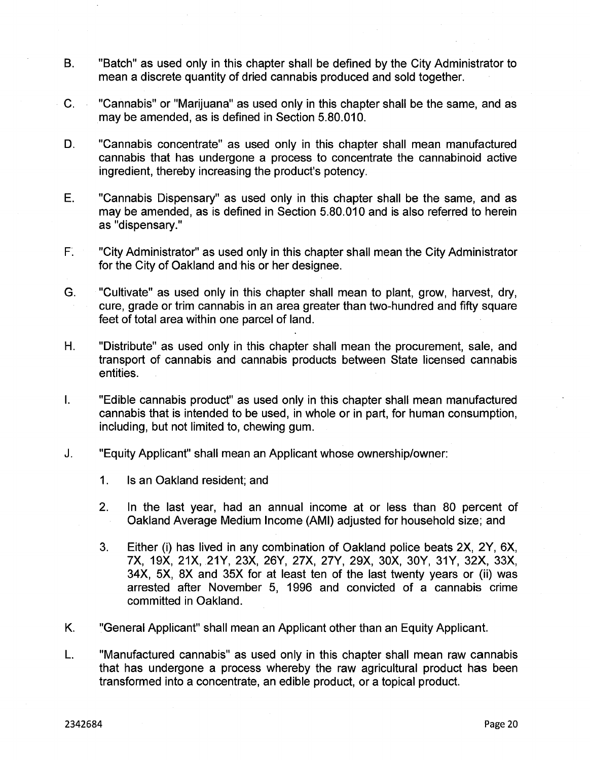- B. "Batch" as used only in this chapter shall be defined by the City Administrator to mean a discrete quantity of dried cannabis produced and sold together.
- C. "Cannabis" or "Marijuana" as used only in this chapter shall be the same, and as may be amended, as is defined in Section 5.80.010.
- "Cannabis concentrate" as used only in this chapter shall mean manufactured cannabis that has undergone a process to concentrate the cannabinoid active ingredient, thereby increasing the product's potency. D.
- E. "Cannabis Dispensary" as used only in this chapter shall be the same, and as may be amended, as is defined in Section 5.80.010 and is also referred to herein as "dispensary."
- "City Administrator" as used only in this chapter shall mean the City Administrator for the City of Oakland and his or her designee. F.
- G. "Cultivate" as used only in this chapter shall mean to plant, grow, harvest, dry, cure, grade or trim cannabis in an area greater than two-hundred and fifty square feet of total area within one parcel of land.
- H. "Distribute" as used only in this chapter shall mean the procurement, sale, and transport of cannabis and cannabis products between State licensed cannabis entities.
- "Edible cannabis product" as used only in this chapter shall mean manufactured cannabis that is intended to be used, in whole or in part, for human consumption, including, but not limited to, chewing gum. I.
- J. "Equity Applicant" shall mean an Applicant whose ownership/owner:
	- 1. Is an Oakland resident; and
	- 2. In the last year, had an annual income at or less than 80 percent of Oakland Average Medium Income (AMI) adjusted for household size; and
	- 3. Either (i) has lived in any combination of Oakland police beats 2X, 2Y, 6X, 7X, 19X, 21X, 21Y, 23X, 26Y, 27X, 27Y, 29X, 30X, 30Y, 31Y, 32X, 33X, 34X, 5X, 8X and 35X for at least ten of the last twenty years or (ii) was arrested after November 5, 1996 and convicted of a cannabis crime committed in Oakland.
- K. "General Applicant" shall mean an Applicant other than an Equity Applicant.
- L. "Manufactured cannabis" as used only in this chapter shall mean raw cannabis that has undergone a process whereby the raw agricultural product has been transformed into a concentrate, an edible product, or a topical product.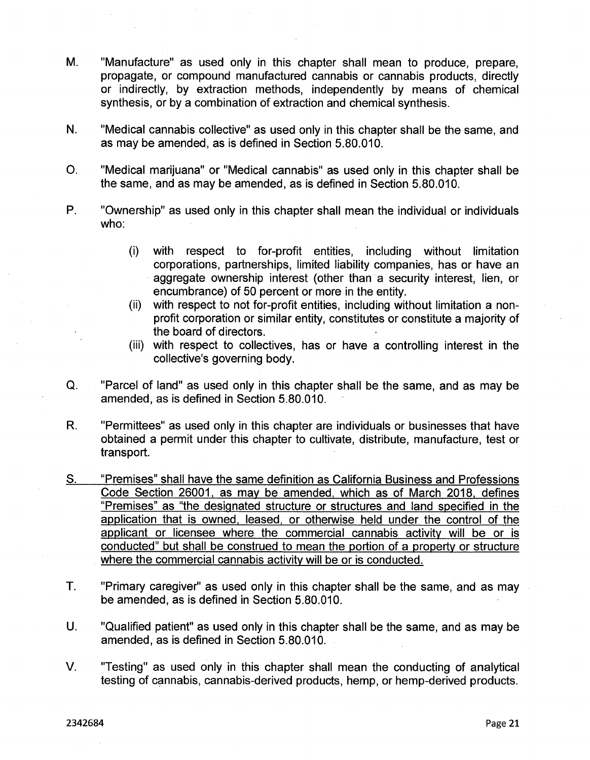- M. "Manufacture" as used only in this chapter shall mean to produce, prepare, propagate, or compound manufactured cannabis or cannabis products, directly or indirectly, by extraction methods, independently by means of chemical synthesis, or by a combination of extraction and chemical synthesis.
- N. "Medical cannabis collective" as used only in this chapter shall be the same, and as may be amended, as is defined in Section 5.80.010.
- O. "Medical marijuana" or "Medical cannabis" as used only in this chapter shall be the same, and as may be amended, as is defined in Section 5.80.010.
- P. "Ownership" as used only in this chapter shall mean the individual or individuals who:
	- (i) with respect to for-profit entities, including without limitation corporations, partnerships, limited liability companies, has or have an aggregate ownership interest (other than a security interest, lien, or encumbrance) of 50 percent or more in the entity.
	- (ii) with respect to not for-profit entities, including without limitation a nonprofit corporation or similar entity, constitutes or constitute a majority of the board of directors.
	- (iii) with respect to collectives, has or have a controlling interest in the collective's governing body.
- Q. "Parcel of land" as used only in this chapter shall be the same, and as may be amended, as is defined in Section 5.80.010.
- R. "Permittees" as used only in this chapter are individuals or businesses that have obtained a permit under this chapter to cultivate, distribute, manufacture, test or transport.
- S. "Premises" shall have the same definition as California Business and Professions Code Section 26001, as may be amended, which as of March 2018, defines "Premises" as "the designated structure or structures and land specified in the application that is owned, leased, or otherwise held under the control of the applicant or licensee where the commercial cannabis activity will be or is conducted" but shall be construed to mean the portion of a property or structure where the commercial cannabis activity will be or is conducted.
- T. "Primary caregiver" as used only in this chapter shall be the same, and as may be amended, as is defined in Section 5.80.010.
- U. "Qualified patient" as used only in this chapter shall be the same, and as may be amended, as is defined in Section 5.80.010.
- V. "Testing" as used only in this chapter shall mean the conducting of analytical testing of cannabis, cannabis-derived products, hemp, or hemp-derived products.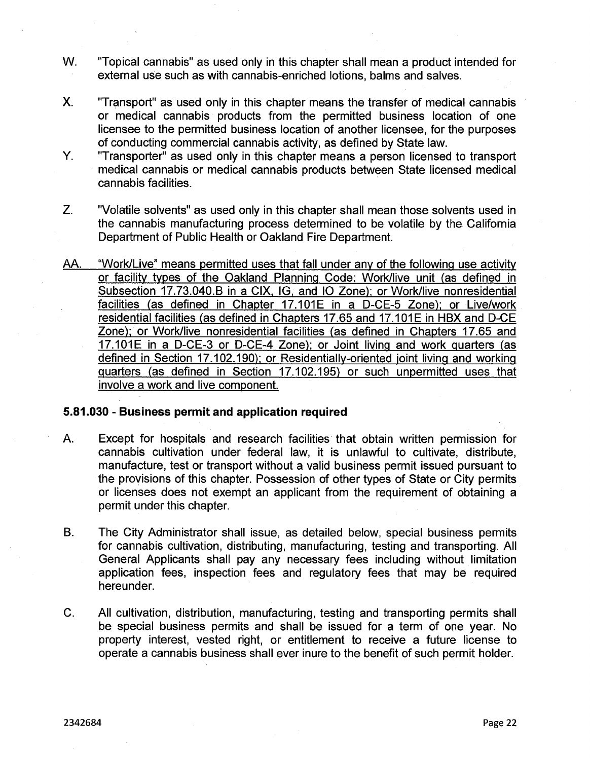- **w.** "Topical cannabis" as used only in this chapter shall mean <sup>a</sup> product intended for external use such as with cannabis-enriched lotions, balms and salves.
- X. "Transport" as used only in this chapter means the transfer of medical cannabis or medical cannabis products from the permitted business location of one licensee to the permitted business location of another licensee, for the purposes of conducting commercial cannabis activity, as defined by State law.
- "Transporter" as used only in this chapter means a person licensed to transport medical cannabis or medical cannabis products between State licensed medical cannabis facilities. Y.
- "Volatile solvents" as used only in this chapter shall mean those solvents used in the cannabis manufacturing process determined to be volatile by the California Department of Public Health or Oakland Fire Department. Z.
- AA. "Work/Live" means permitted uses that fall under any of the following use activity or facility types of the Oakland Planning Code: Work/live unit (as defined in Subsection 17.73.040.B in a CIX, IG. and IQ Zone); or Work/live nonresidential facilities (as defined in Chapter 17.101E in a D-CE-5 Zone); or Live/work residential facilities (as defined in Chapters 17.65 and 17.101E in HBX and D-CE Zone); or Work/live nonresidential facilities (as defined in Chapters 17.65 and 17.101E in a D-CE-3 or D-CE-4 Zone); or Joint living and work quarters (as defined in Section 17.102.190); or Residentiallv-oriented joint living and working quarters (as defined in Section 17.102.195) or such unpermitted uses that involve a work and live component.

# **5.81.030 - Business permit and application required**

- Except for hospitals and research facilities that obtain written permission for cannabis cultivation under federal law, it is unlawful to cultivate, distribute, manufacture, test or transport without a valid business permit issued pursuant to the provisions of this chapter. Possession of other types of State or City permits or licenses does not exempt an applicant from the requirement of obtaining a permit under this chapter. A.
- B. The City Administrator shall issue, as detailed below, special business permits for cannabis cultivation, distributing, manufacturing, testing and transporting. All General Applicants shall pay any necessary fees including without limitation application fees, inspection fees and regulatory fees that may be required hereunder.
- C. All cultivation, distribution, manufacturing, testing and transporting permits shall be special business permits and shall be issued for a term of one year. No property interest, vested right, or entitlement to receive a future license to operate a cannabis business shall ever inure to the benefit of such permit holder.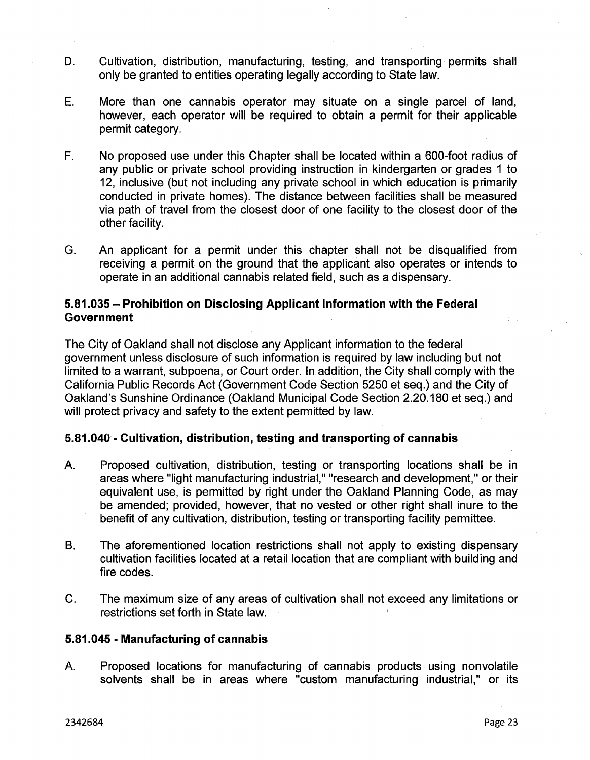- Cultivation, distribution, manufacturing, testing, and transporting permits shall only be granted to entities operating legally according to State law. D.
- More than one cannabis operator may situate on a single parcel of land, however, each operator will be required to obtain a permit for their applicable permit category. E.
- No proposed use under this Chapter shall be located within a 600-foot radius of any public or private school providing instruction in kindergarten or grades <sup>1</sup> to 12, inclusive (but not including any private school in which education is primarily conducted in private homes). The distance between facilities shall be measured via path of travel from the closest door of one facility to the closest door of the other facility. F.
- G. An applicant for a permit under this chapter shall not be disqualified from receiving a permit on the ground that the applicant also operates or intends to operate in an additional cannabis related field, such as a dispensary.

# **5.81.035 - Prohibition on Disclosing Applicant Information with the Federal Government**

The City of Oakland shall not disclose any Applicant information to the federal government unless disclosure of such information is required by law including but not limited to a warrant, subpoena, or Court order. In addition, the City shall comply with the California Public Records Act (Government Code Section 5250 et seq.) and the City of Oakland's Sunshine Ordinance (Oakland Municipal Code Section 2.20.180 et seq.) and will protect privacy and safety to the extent permitted by law.

# **5.81.040 - Cultivation, distribution, testing and transporting of cannabis**

- Proposed cultivation, distribution, testing or transporting locations shall be in areas where "light manufacturing industrial," "research and development," or their equivalent use, is permitted by right under the Oakland Planning Code, as may be amended; provided, however, that no vested or other right shall inure to the benefit of any cultivation, distribution, testing or transporting facility permittee. A.
- The aforementioned location restrictions shall not apply to existing dispensary cultivation facilities located at a retail location that are compliant with building and fire codes. B.
- C. The maximum size of any areas of cultivation shall not exceed any limitations or restrictions set forth in State law.

# **5.81.045 - Manufacturing of cannabis**

A. Proposed locations for manufacturing of cannabis products using nonvolatile solvents shall be in areas where "custom manufacturing industrial," or its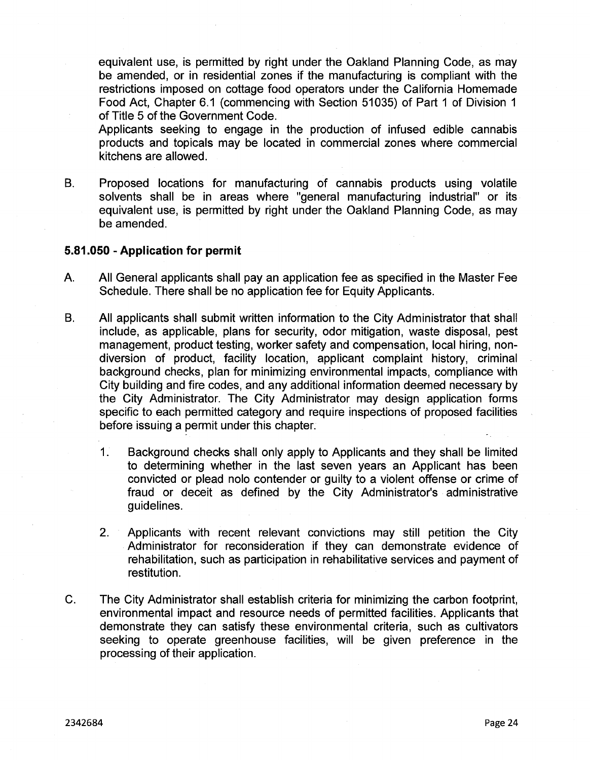equivalent use, is permitted by right under the Oakland Planning Code, as may be amended, or in residential zones if the manufacturing is compliant with the restrictions imposed on cottage food operators under the California Homemade Food Act, Chapter 6.1 (commencing with Section 51035) of Part <sup>1</sup> of Division <sup>1</sup> of Title 5 of the Government Code.

Applicants seeking to engage in the production of infused edible cannabis products and topicals may be located in commercial zones where commercial kitchens are allowed.

B. Proposed locations for manufacturing of cannabis products using volatile solvents shall be in areas where "general manufacturing industrial" or its equivalent use, is permitted by right under the Oakland Planning Code, as may be amended.

# **5.81.050 - Application for permit**

- A. All General applicants shall pay an application fee as specified in the Master Fee Schedule. There shall be no application fee for Equity Applicants.
- B. All applicants shall submit written information to the City Administrator that shall include, as applicable, plans for security, odor mitigation, waste disposal, pest management, product testing, worker safety and compensation, local hiring, nondiversion of product, facility location, applicant complaint history, criminal background checks, plan for minimizing environmental impacts, compliance with City building and fire codes, and any additional information deemed necessary by the City Administrator. The City Administrator may design application forms specific to each permitted category and require inspections of proposed facilities before issuing a permit under this chapter.
	- 1. Background checks shall only apply to Applicants and they shall be limited to determining whether in the last seven years an Applicant has been convicted or plead nolo contender or guilty to a violent offense or crime of fraud or deceit as defined by the City Administrator's administrative guidelines.
	- 2. Applicants with recent relevant convictions may still petition the City Administrator for reconsideration if they can demonstrate evidence of rehabilitation, such as participation in rehabilitative services and payment of restitution.
- C. The City Administrator shall establish criteria for minimizing the carbon footprint, environmental impact and resource needs of permitted facilities. Applicants that demonstrate they can satisfy these environmental criteria, such as cultivators seeking to operate greenhouse facilities, will be given preference in the processing of their application.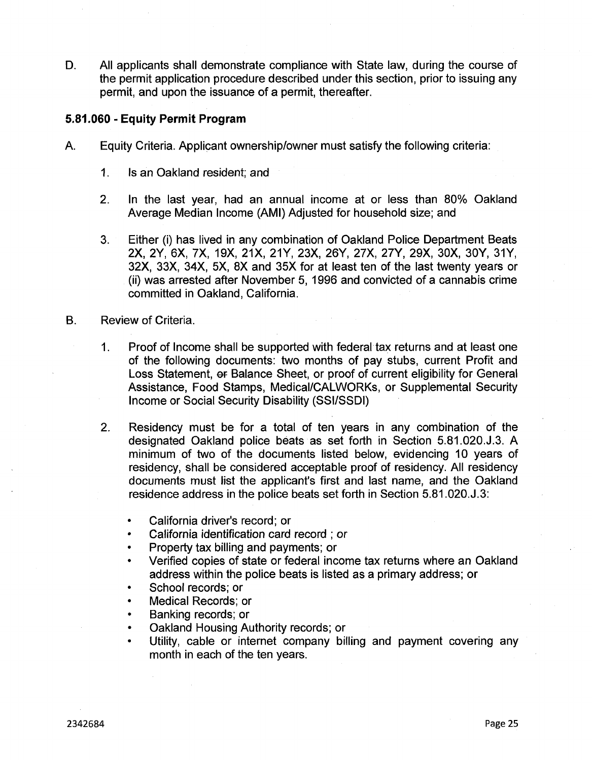All applicants shall demonstrate compliance with State law, during the course of the permit application procedure described under this section, prior to issuing any permit, and upon the issuance of a permit, thereafter. D.

# **5.81.060 - Equity Permit Program**

- A. Equity Criteria. Applicant ownership/owner must satisfy the following criteria:
	- 1. Is an Oakland resident; and
	- In the last year, had an annual income at or less than 80% Oakland Average Median Income (AMI) Adjusted for household size; and 2.
	- Either (i) has lived in any combination of Oakland Police Department Beats 2X, 2Y, 6X, 7X, 19X, 21X, 21Y, 23X, 26Y, 27X, 27Y, 29X, 30X, 30Y, 31Y, 32X, 33X, 34X, 5X, 8X and 35X for at least ten of the last twenty years or (ii) was arrested after November 5, 1996 and convicted of a cannabis crime committed in Oakland, California. 3.
- B. Review of Criteria.
	- Proof of Income shall be supported with federal tax returns and at least one of the following documents: two months of pay stubs, current Profit and Loss Statement, or Balance Sheet, or proof of current eligibility for General Assistance, Food Stamps, Medical/CALWORKs, or Supplemental Security Income or Social Security Disability (SSI/SSDI) 1.
	- Residency must be for a total of ten years in any combination of the designated Oakland police beats as set forth in Section 5.81.020.J.3. A minimum of two of the documents listed below, evidencing 10 years of residency, shall be considered acceptable proof of residency. All residency documents must list the applicant's first and last name, and the Oakland residence address in the police beats set forth in Section 5.81.020.J.3: 2.
		- California driver's record; or
		- California identification card record ; or
		- Property tax billing and payments; or
		- Verified copies of state or federal income tax returns where an Oakland address within the police beats is listed as a primary address; or
		- School records; or
		- Medical Records; or
		- Banking records; or
		- Oakland Housing Authority records; or
		- Utility, cable or internet company billing and payment covering any month in each of the ten years.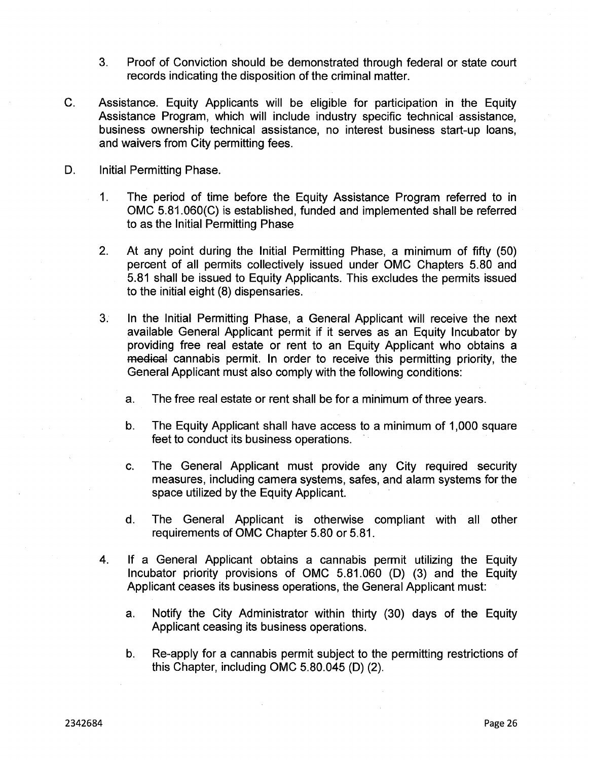- Proof of Conviction should be demonstrated through federal or state court records indicating the disposition of the criminal matter. 3.
- C. Assistance. Equity Applicants will be eligible for participation in the Equity Assistance Program, which will include industry specific technical assistance, business ownership technical assistance, no interest business start-up loans, and waivers from City permitting fees.
- D. Initial Permitting Phase.
	- The period of time before the Equity Assistance Program referred to in OMC 5.81.060(C) is established, funded and implemented shall be referred to as the Initial Permitting Phase 1.
	- 2. At any point during the Initial Permitting Phase, a minimum of fifty (50) percent of all permits collectively issued under OMC Chapters 5.80 and 5.81 shall be issued to Equity Applicants. This excludes the permits issued to the initial eight (8) dispensaries.
	- 3. In the Initial Permitting Phase, a General Applicant will receive the next available General Applicant permit if it serves as an Equity Incubator by providing free real estate or rent to an Equity Applicant who obtains a medical cannabis permit. In order to receive this permitting priority, the General Applicant must also comply with the following conditions:
		- a. The free real estate or rent shall be for a minimum of three years.
		- b. The Equity Applicant shall have access to a minimum of 1,000 square feet to conduct its business operations.
		- c. The General Applicant must provide any City required security measures, including camera systems, safes, and alarm systems for the space utilized by the Equity Applicant.
		- d. The General Applicant is otherwise compliant with all other requirements of OMC Chapter 5.80 or 5.81.
	- If a General Applicant obtains a cannabis permit utilizing the Equity Incubator priority provisions of OMC 5.81.060 (D) (3) and the Equity Applicant ceases its business operations, the General Applicant must: 4.
		- a. Notify the City Administrator within thirty (30) days of the Equity Applicant ceasing its business operations.
		- b. Re-apply for a cannabis permit subject to the permitting restrictions of this Chapter, including OMC 5.80.045 (D) (2).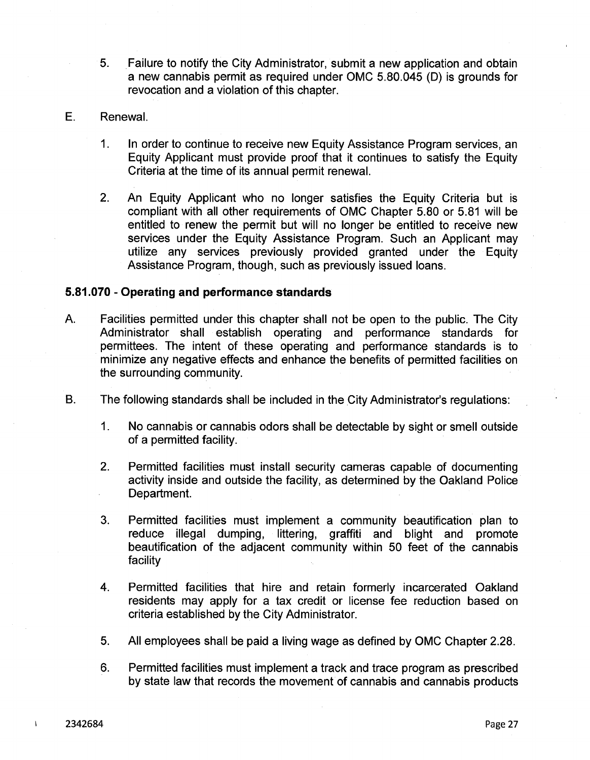- Failure to notify the City Administrator, submit a new application and obtain a new cannabis permit as required under OMC 5.80.045 (D) is grounds for revocation and a violation of this chapter. 5.
- E. Renewal.
	- 1. In order to continue to receive new Equity Assistance Program services, an Equity Applicant must provide proof that it continues to satisfy the Equity Criteria at the time of its annual permit renewal.
	- 2. An Equity Applicant who no longer satisfies the Equity Criteria but is compliant with all other requirements of OMC Chapter 5.80 or 5.81 will be entitled to renew the permit but will no longer be entitled to receive new services under the Equity Assistance Program. Such an Applicant may utilize any services previously provided granted under the Equity Assistance Program, though, such as previously issued loans.

# **5.81.070 - Operating and performance standards**

- A. Facilities permitted under this chapter shall not be open to the public. The City Administrator shall establish operating and performance standards for permittees. The intent of these operating and performance standards is to minimize any negative effects and enhance the benefits of permitted facilities on the surrounding community.
- B. The following standards shall be included in the City Administrator's regulations:
	- 1. No cannabis or cannabis odors shall be detectable by sight or smell outside of a permitted facility.
	- Permitted facilities must install security cameras capable of documenting activity inside and outside the facility, as determined by the Oakland Police Department. 2.
	- Permitted facilities must implement a community beautification plan to reduce illegal dumping, littering, graffiti and blight and promote beautification of the adjacent community within 50 feet of the cannabis facility 3.
	- Permitted facilities that hire and retain formerly incarcerated Oakland residents may apply for a tax credit or license fee reduction based on criteria established by the City Administrator. 4.
	- 5. All employees shall be paid a living wage as defined by OMC Chapter 2.28.
	- 6. Permitted facilities must implement a track and trace program as prescribed by state law that records the movement of cannabis and cannabis products

 $\mathbf{I}$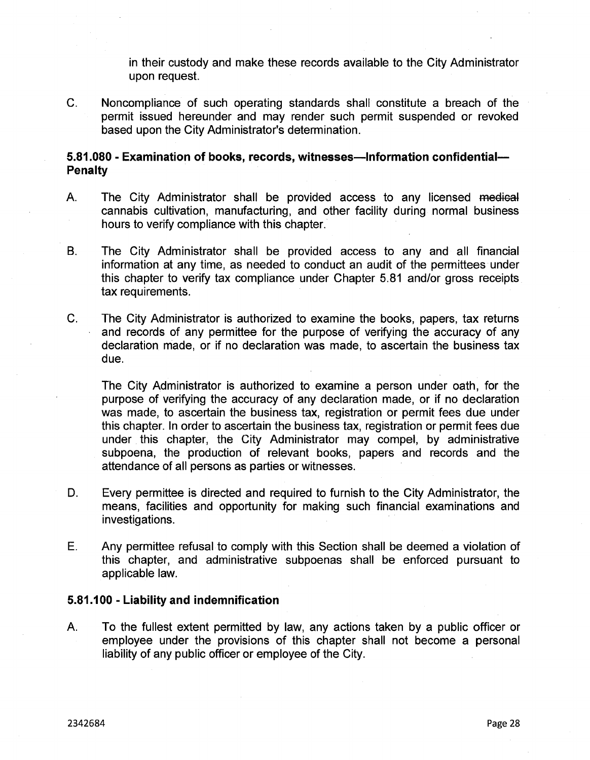in their custody and make these records available to the City Administrator upon request.

C. Noncompliance of such operating standards shall constitute a breach of the permit issued hereunder and may render such permit suspended or revoked based upon the City Administrator's determination.

# **5.81.080 - Examination of books, records, witnesses—Information confidential— Penalty**

- The City Administrator shall be provided access to any licensed medieai cannabis cultivation, manufacturing, and other facility during normal business hours to verify compliance with this chapter. A.
- B. The City Administrator shall be provided access to any and all financial information at any time, as needed to conduct an audit of the permittees under this chapter to verify tax compliance under Chapter 5.81 and/or gross receipts tax requirements.
- C. The City Administrator is authorized to examine the books, papers, tax returns and records of any permittee for the purpose of verifying the accuracy of any declaration made, or if no declaration was made, to ascertain the business tax due.

The City Administrator is authorized to examine a person under oath, for the purpose of verifying the accuracy of any declaration made, or if no declaration was made, to ascertain the business tax, registration or permit fees due under this chapter. In order to ascertain the business tax, registration or permit fees due under this chapter, the City Administrator may compel, by administrative subpoena, the production of relevant books, papers and records and the attendance of all persons as parties or witnesses.

- D. Every permittee is directed and required to furnish to the City Administrator, the means, facilities and opportunity for making such financial examinations and investigations.
- Any permittee refusal to comply with this Section shall be deemed a violation of this chapter, and administrative subpoenas shall be enforced pursuant to applicable law. E.

## **5.81.100 - Liability and indemnification**

To the fullest extent permitted by law, any actions taken by a public officer or employee under the provisions of this chapter shall not become a personal liability of any public officer or employee of the City. A.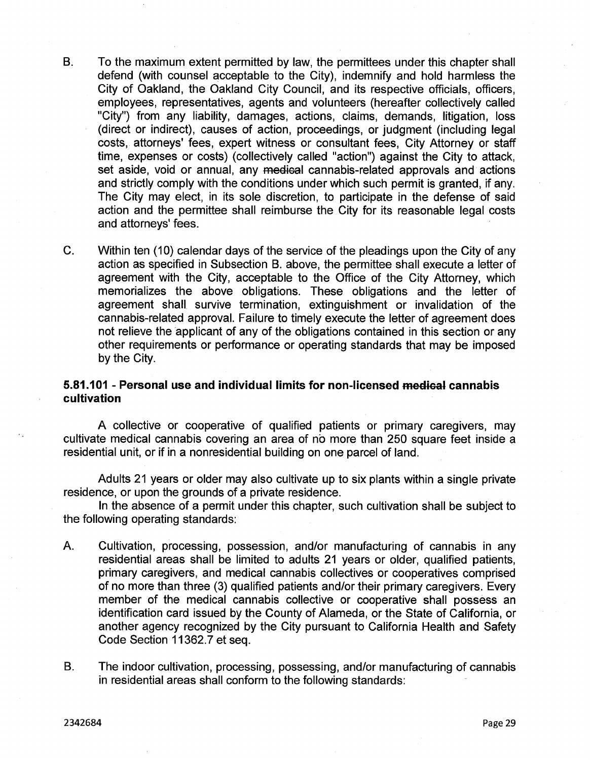- B. To the maximum extent permitted by law, the permittees under this chapter shall defend (with counsel acceptable to the City), indemnify and hold harmless the City of Oakland, the Oakland City Council, and its respective officials, officers, employees, representatives, agents and volunteers (hereafter collectively called "City") from any liability, damages, actions, claims, demands, litigation, loss (direct or indirect), causes of action, proceedings, or judgment (including legal costs, attorneys' fees, expert witness or consultant fees, City Attorney or staff time, expenses or costs) (collectively called "action") against the City to attack, set aside, void or annual, any medical cannabis-related approvals and actions and strictly comply with the conditions under which such permit is granted, if any. The City may elect, in its sole discretion, to participate in the defense of said action and the permittee shall reimburse the City for its reasonable legal costs and attorneys' fees.
- C. Within ten (10) calendar days of the service of the pleadings upon the City of any action as specified in Subsection B. above, the permittee shall execute a letter of agreement with the City, acceptable to the Office of the City Attorney, which memorializes the above obligations. These obligations and the letter of agreement shall survive termination, extinguishment or invalidation of the cannabis-related approval. Failure to timely execute the letter of agreement does not relieve the applicant of any of the obligations contained in this section or any other requirements or performance or operating standards that may be imposed by the City.

# **5.81.101 - Personal use and individual limits for non-licensed medical cannabis cultivation**

A collective or cooperative of qualified patients or primary caregivers, may cultivate medical cannabis covering an area of no more than 250 square feet inside a residential unit, or if in a nonresidential building on one parcel of land.

Adults 21 years or older may also cultivate up to six plants within a single private residence, or upon the grounds of a private residence.

In the absence of a permit under this chapter, such cultivation shall be subject to the following operating standards:

- A. Cultivation, processing, possession, and/or manufacturing of cannabis in any residential areas shall be limited to adults 21 years or older, qualified patients, primary caregivers, and medical cannabis collectives or cooperatives comprised of no more than three (3) qualified patients and/or their primary caregivers. Every member of the medical cannabis collective or cooperative shall possess an identification card issued by the County of Alameda, or the State of California, or another agency recognized by the City pursuant to California Health and Safety Code Section 11362.7 et seq.
- B. The indoor cultivation, processing, possessing, and/or manufacturing of cannabis in residential areas shall conform to the following standards:

2342684 Page 29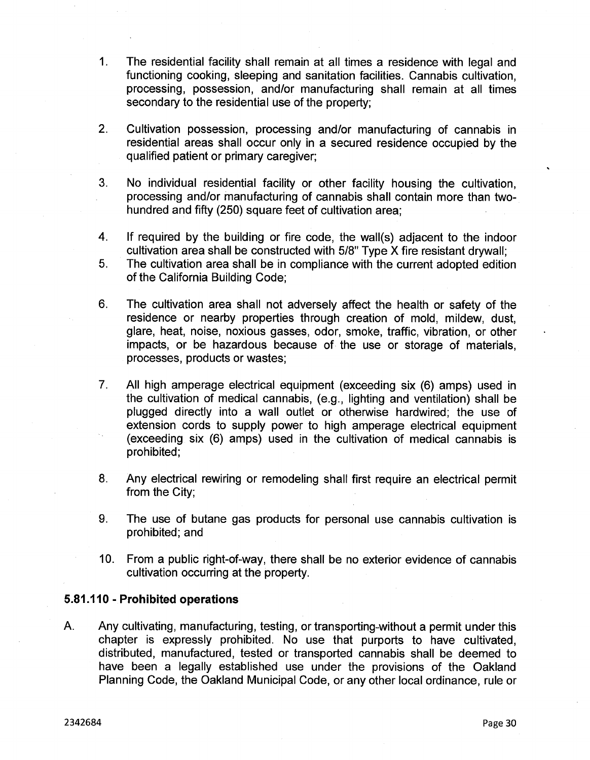- 1. The residential facility shall remain at all times a residence with legal and functioning cooking, sleeping and sanitation facilities. Cannabis cultivation, processing, possession, and/or manufacturing shall remain at all times secondary to the residential use of the property;
- 2. Cultivation possession, processing and/or manufacturing of cannabis in residential areas shall occur only in a secured residence occupied by the qualified patient or primary caregiver;
- 3. No individual residential facility or other facility housing the cultivation, processing and/or manufacturing of cannabis shall contain more than twohundred and fifty (250) square feet of cultivation area;
- If required by the building or fire code, the wall(s) adjacent to the indoor cultivation area shall be constructed with 5/8" Type X fire resistant drywall; 4.
- The cultivation area shall be in compliance with the current adopted edition of the California Building Code; 5.
- 6. The cultivation area shall not adversely affect the health or safety of the residence or nearby properties through creation of mold, mildew, dust, glare, heat, noise, noxious gasses, odor, smoke, traffic, vibration, or other impacts, or be hazardous because of the use or storage of materials, processes, products or wastes;
- 7. All high amperage electrical equipment (exceeding six (6) amps) used in the cultivation of medical cannabis, (e.g., lighting and ventilation) shall be plugged directly into a wall outlet or otherwise hardwired; the use of extension cords to supply power to high amperage electrical equipment (exceeding six (6) amps) used in the cultivation of medical cannabis is prohibited;
- Any electrical rewiring or remodeling shall first require an electrical permit from the City; 8.
- The use of butane gas products for personal use cannabis cultivation is prohibited; and 9.
- 10. From a public right-of-way, there shall be no exterior evidence of cannabis cultivation occurring at the property.

## **5.81.110 - Prohibited operations**

A. Any cultivating, manufacturing, testing, or transporting-without a permit under this chapter is expressly prohibited. No use that purports to have cultivated, distributed, manufactured, tested or transported cannabis shall be deemed to have been a legally established use under the provisions of the Oakland Planning Code, the Oakland Municipal Code, or any other local ordinance, rule or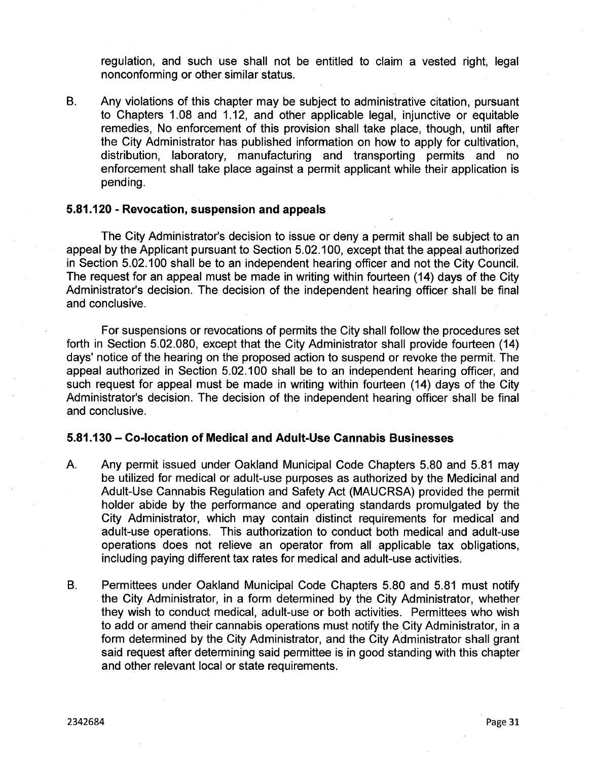regulation, and such use shall not be entitled to claim a vested right, legal nonconforming or other similar status.

B. Any violations of this chapter may be subject to administrative citation, pursuant to Chapters 1.08 and 1.12, and other applicable legal, injunctive or equitable remedies, No enforcement of this provision shall take place, though, until after the City Administrator has published information on how to apply for cultivation, distribution, laboratory, manufacturing and transporting permits and no enforcement shall take place against a permit applicant while their application is pending.

# **5.81.120 - Revocation, suspension and appeals**

The City Administrator's decision to issue or deny a permit shall be subject to an appeal by the Applicant pursuant to Section 5.02.100, except that the appeal authorized in Section 5.02.100 shall be to an independent hearing officer and not the City Council. The request for an appeal must be made in writing within fourteen (14) days of the City Administrator's decision. The decision of the independent hearing officer shall be final and conclusive.

For suspensions or revocations of permits the City shall follow the procedures set forth in Section 5.02.080, except that the City Administrator shall provide fourteen (14) days' notice of the hearing on the proposed action to suspend or revoke the permit. The appeal authorized in Section 5.02.100 shall be to an independent hearing officer, and such request for appeal must be made in writing within fourteen (14) days of the City Administrator's decision. The decision of the independent hearing officer shall be final and conclusive.

## **5.81.130 - Co-location of Medical and Adult-Use Cannabis Businesses**

- A. Any permit issued under Oakland Municipal Code Chapters 5.80 and 5.81 may be utilized for medical or adult-use purposes as authorized by the Medicinal and Adult-Use Cannabis Regulation and Safety Act (MAUCRSA) provided the permit holder abide by the performance and operating standards promulgated by the City Administrator, which may contain distinct requirements for medical and adult-use operations. This authorization to conduct both medical and adult-use operations does not relieve an operator from all applicable tax obligations, including paying different tax rates for medical and adult-use activities.
- B. Permittees under Oakland Municipal Code Chapters 5.80 and 5.81 must notify the City Administrator, in a form determined by the City Administrator, whether they wish to conduct medical, adult-use or both activities. Permittees who wish to add or amend their cannabis operations must notify the City Administrator, in a form determined by the City Administrator, and the City Administrator shall grant said request after determining said permittee is in good standing with this chapter and other relevant local or state requirements.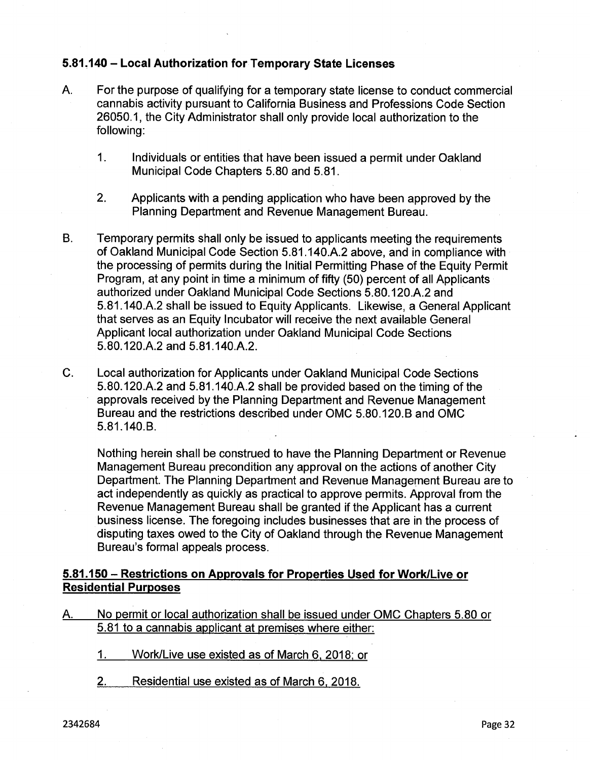# **5.81.140 - Local Authorization for Temporary State Licenses**

- A. For the purpose of qualifying for a temporary state license to conduct commercial cannabis activity pursuant to California Business and Professions Code Section 26050.1, the City Administrator shall only provide local authorization to the following:
	- 1. Individuals or entities that have been issued a permit under Oakland Municipal Code Chapters 5.80 and 5.81.
	- 2. Applicants with a pending application who have been approved by the Planning Department and Revenue Management Bureau.
- B. Temporary permits shall only be issued to applicants meeting the requirements of Oakland Municipal Code Section 5.81.140.A.2 above, and in compliance with the processing of permits during the Initial Permitting Phase of the Equity Permit Program, at any point in time a minimum of fifty (50) percent of all Applicants authorized under Oakland Municipal Code Sections 5.80.120.A.2 and 5.81.140.A.2 shall be issued to Equity Applicants. Likewise, a General Applicant that serves as an Equity Incubator will receive the next available General Applicant local authorization under Oakland Municipal Code Sections 5.80.120.A.2 and 5.81.140.A.2.
- C. Local authorization for Applicants under Oakland Municipal Code Sections 5.80.120.A.2 and 5.81.140.A.2 shall be provided based on the timing of the approvals received by the Planning Department and Revenue Management Bureau and the restrictions described under OMC 5.80.120.B and OMC 5.81.140.B.

Nothing herein shall be construed to have the Planning Department or Revenue Management Bureau precondition any approval on the actions of another City Department. The Planning Department and Revenue Management Bureau are to act independently as quickly as practical to approve permits. Approval from the Revenue Management Bureau shall be granted if the Applicant has a current business license. The foregoing includes businesses that are in the process of disputing taxes owed to the City of Oakland through the Revenue Management Bureau's formal appeals process.

# **5.81.150 - Restrictions on Approvals for Properties Used for Work/Live or Residential Purposes**

- A. No permit or local authorization shall be issued under OMC Chapters 5.80 or 5.81 to a cannabis applicant at premises where either:
	- 1. Work/Live use existed as of March 6, 2018: or
	- 2. Residential use existed as of March 6, 2018.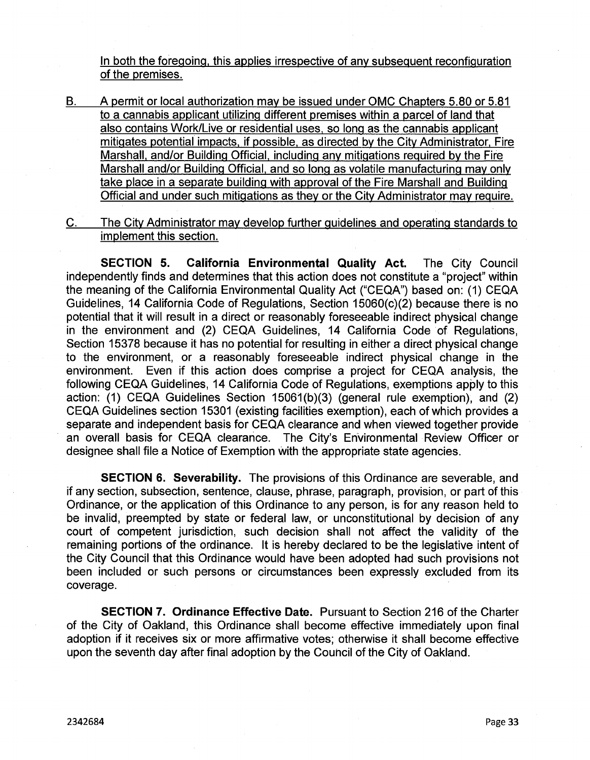In both the foregoing, this applies irrespective of any subsequent reconfiguration of the premises.

B. A permit or local authorization may be issued under OMC Chapters 5.80 or 5.81 to a cannabis applicant utilizing different premises within a parcel of land that also contains Work/Live or residential uses, so long as the cannabis applicant mitigates potential impacts, if possible, as directed by the City Administrator. Fire Marshall, and/or Building Official, including any mitigations required by the Fire Marshall and/or Building Official, and so long as volatile manufacturing may only take place in a separate building with approval of the Fire Marshall and Building Official and under such mitigations as they or the City Administrator may require.

C. The City Administrator may develop further guidelines and operating standards to implement this section.

**SECTION 5. California Environmental Quality Act.** The City Council independently finds and determines that this action does not constitute a "project" within the meaning of the California Environmental Quality Act ("CEQA") based on: (1) CEQA Guidelines, 14 California Code of Regulations, Section 15060(c)(2) because there is no potential that it will result in a direct or reasonably foreseeable indirect physical change in the environment and (2) CEQA Guidelines, 14 California Code of Regulations, Section 15378 because it has no potential for resulting in either a direct physical change to the environment, or a reasonably foreseeable indirect physical change in the environment. Even if this action does comprise a project for CEQA analysis, the following CEQA Guidelines, 14 California Code of Regulations, exemptions apply to this action: (1) CEQA Guidelines Section 15061(b)(3) (general rule exemption), and (2) CEQA Guidelines section 15301 (existing facilities exemption), each of which provides a separate and independent basis for CEQA clearance and when viewed together provide an overall basis for CEQA clearance. The City's Environmental Review Officer or designee shall file a Notice of Exemption with the appropriate state agencies.

**SECTION 6. Severability.** The provisions of this Ordinance are severable, and if any section, subsection, sentence, clause, phrase, paragraph, provision, or part of this Ordinance, or the application of this Ordinance to any person, is for any reason held to be invalid, preempted by state or federal law, or unconstitutional by decision of any court of competent jurisdiction, such decision shall not affect the validity of the remaining portions of the ordinance. It is hereby declared to be the legislative intent of the City Council that this Ordinance would have been adopted had such provisions not been included or such persons or circumstances been expressly excluded from its coverage.

**SECTION 7. Ordinance Effective Date.** Pursuant to Section 216 of the Charter of the City of Oakland, this Ordinance shall become effective immediately upon final adoption if it receives six or more affirmative votes; otherwise it shall become effective upon the seventh day after final adoption by the Couhcil of the City of Oakland.